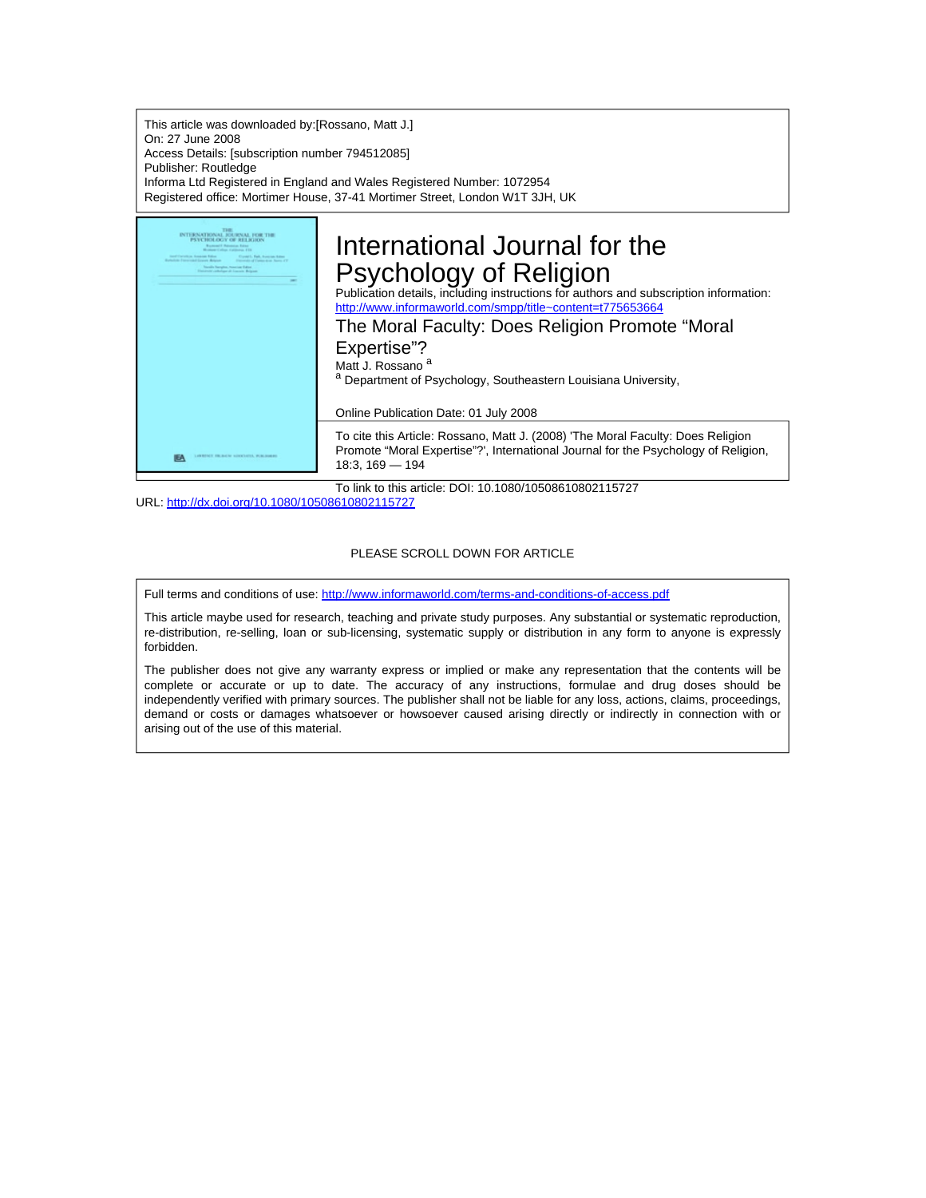This article was downloaded by:[Rossano, Matt J.] On: 27 June 2008 Access Details: [subscription number 794512085] Publisher: Routledge Informa Ltd Registered in England and Wales Registered Number: 1072954 Registered office: Mortimer House, 37-41 Mortimer Street, London W1T 3JH, UK



# International Journal for the Psychology of Religion

Publication details, including instructions for authors and subscription information: <http://www.informaworld.com/smpp/title~content=t775653664>

# The Moral Faculty: Does Religion Promote "Moral

Expertise"?

Matt J. Rossano<sup>a</sup>

a Department of Psychology, Southeastern Louisiana University,

# Online Publication Date: 01 July 2008

To cite this Article: Rossano, Matt J. (2008) 'The Moral Faculty: Does Religion Promote "Moral Expertise"?', International Journal for the Psychology of Religion, 18:3, 169 — 194

To link to this article: DOI: 10.1080/10508610802115727 URL: <http://dx.doi.org/10.1080/10508610802115727>

# PLEASE SCROLL DOWN FOR ARTICLE

Full terms and conditions of use: <http://www.informaworld.com/terms-and-conditions-of-access.pdf>

This article maybe used for research, teaching and private study purposes. Any substantial or systematic reproduction, re-distribution, re-selling, loan or sub-licensing, systematic supply or distribution in any form to anyone is expressly forbidden.

The publisher does not give any warranty express or implied or make any representation that the contents will be complete or accurate or up to date. The accuracy of any instructions, formulae and drug doses should be independently verified with primary sources. The publisher shall not be liable for any loss, actions, claims, proceedings, demand or costs or damages whatsoever or howsoever caused arising directly or indirectly in connection with or arising out of the use of this material.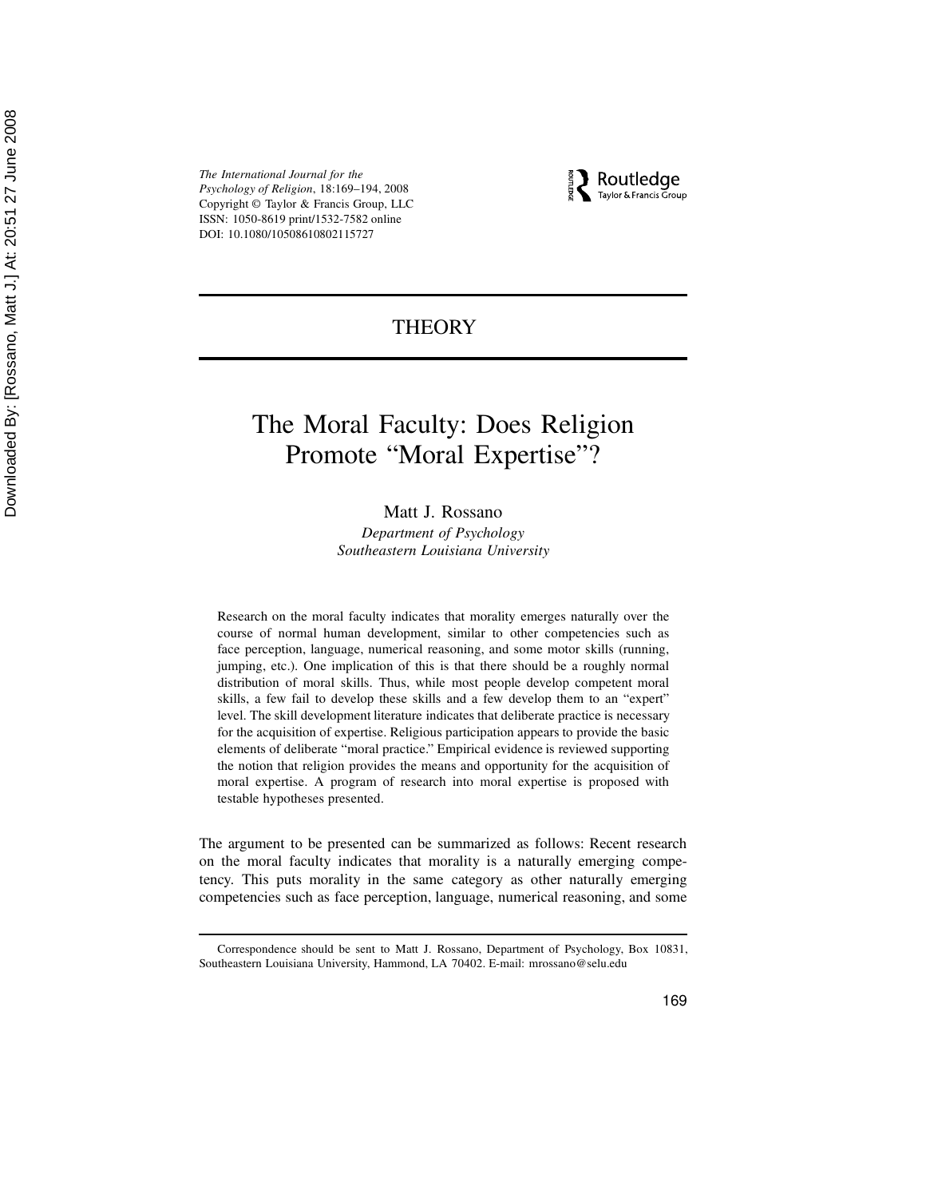The International Journal for the Psychology of Religion, 18:169–194, 2008 Copyright © Taylor & Francis Group, LLC ISSN: 1050-8619 print/1532-7582 online DOI: 10.1080/10508610802115727



# **THEORY**

# The Moral Faculty: Does Religion Promote "Moral Expertise"?

Matt J. Rossano

Department of Psychology Southeastern Louisiana University

Research on the moral faculty indicates that morality emerges naturally over the course of normal human development, similar to other competencies such as face perception, language, numerical reasoning, and some motor skills (running, jumping, etc.). One implication of this is that there should be a roughly normal distribution of moral skills. Thus, while most people develop competent moral skills, a few fail to develop these skills and a few develop them to an "expert" level. The skill development literature indicates that deliberate practice is necessary for the acquisition of expertise. Religious participation appears to provide the basic elements of deliberate "moral practice." Empirical evidence is reviewed supporting the notion that religion provides the means and opportunity for the acquisition of moral expertise. A program of research into moral expertise is proposed with testable hypotheses presented.

The argument to be presented can be summarized as follows: Recent research on the moral faculty indicates that morality is a naturally emerging competency. This puts morality in the same category as other naturally emerging competencies such as face perception, language, numerical reasoning, and some

Correspondence should be sent to Matt J. Rossano, Department of Psychology, Box 10831, Southeastern Louisiana University, Hammond, LA 70402. E-mail: mrossano@selu.edu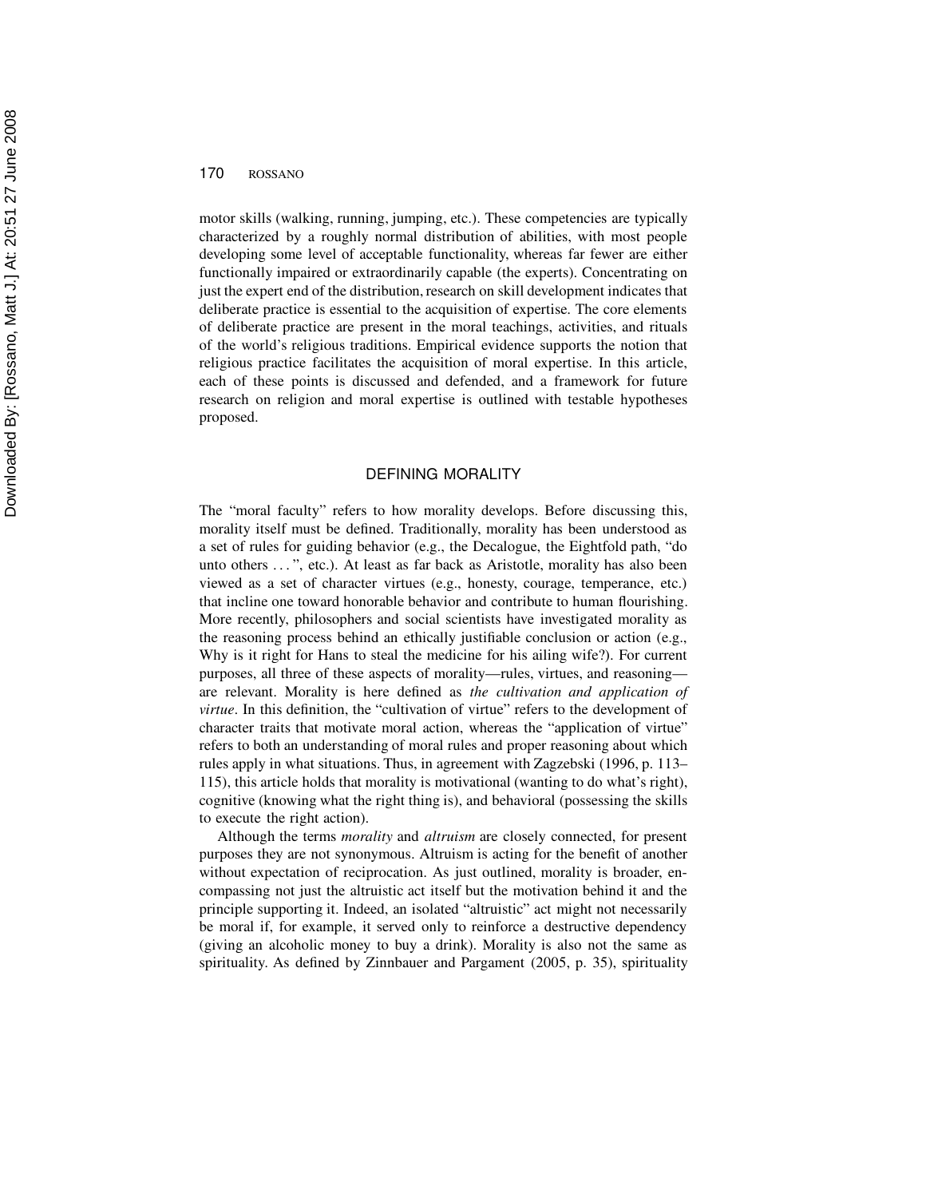motor skills (walking, running, jumping, etc.). These competencies are typically characterized by a roughly normal distribution of abilities, with most people developing some level of acceptable functionality, whereas far fewer are either functionally impaired or extraordinarily capable (the experts). Concentrating on just the expert end of the distribution, research on skill development indicates that deliberate practice is essential to the acquisition of expertise. The core elements of deliberate practice are present in the moral teachings, activities, and rituals of the world's religious traditions. Empirical evidence supports the notion that religious practice facilitates the acquisition of moral expertise. In this article, each of these points is discussed and defended, and a framework for future research on religion and moral expertise is outlined with testable hypotheses proposed.

# DEFINING MORALITY

The "moral faculty" refers to how morality develops. Before discussing this, morality itself must be defined. Traditionally, morality has been understood as a set of rules for guiding behavior (e.g., the Decalogue, the Eightfold path, "do unto others ...", etc.). At least as far back as Aristotle, morality has also been viewed as a set of character virtues (e.g., honesty, courage, temperance, etc.) that incline one toward honorable behavior and contribute to human flourishing. More recently, philosophers and social scientists have investigated morality as the reasoning process behind an ethically justifiable conclusion or action (e.g., Why is it right for Hans to steal the medicine for his ailing wife?). For current purposes, all three of these aspects of morality—rules, virtues, and reasoning are relevant. Morality is here defined as the cultivation and application of virtue. In this definition, the "cultivation of virtue" refers to the development of character traits that motivate moral action, whereas the "application of virtue" refers to both an understanding of moral rules and proper reasoning about which rules apply in what situations. Thus, in agreement with Zagzebski (1996, p. 113– 115), this article holds that morality is motivational (wanting to do what's right), cognitive (knowing what the right thing is), and behavioral (possessing the skills to execute the right action).

Although the terms *morality* and *altruism* are closely connected, for present purposes they are not synonymous. Altruism is acting for the benefit of another without expectation of reciprocation. As just outlined, morality is broader, encompassing not just the altruistic act itself but the motivation behind it and the principle supporting it. Indeed, an isolated "altruistic" act might not necessarily be moral if, for example, it served only to reinforce a destructive dependency (giving an alcoholic money to buy a drink). Morality is also not the same as spirituality. As defined by Zinnbauer and Pargament (2005, p. 35), spirituality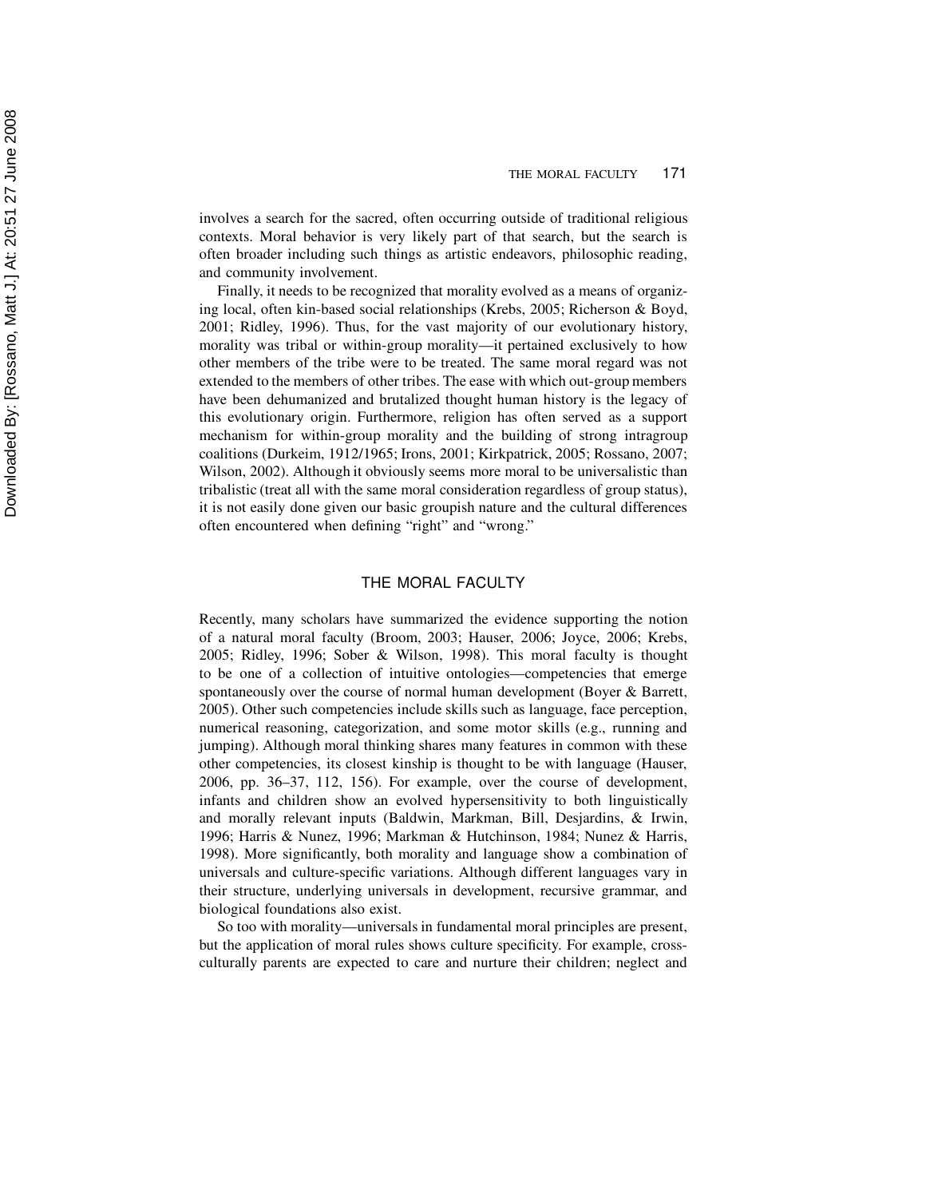involves a search for the sacred, often occurring outside of traditional religious contexts. Moral behavior is very likely part of that search, but the search is often broader including such things as artistic endeavors, philosophic reading, and community involvement.

Finally, it needs to be recognized that morality evolved as a means of organizing local, often kin-based social relationships (Krebs, 2005; Richerson & Boyd, 2001; Ridley, 1996). Thus, for the vast majority of our evolutionary history, morality was tribal or within-group morality—it pertained exclusively to how other members of the tribe were to be treated. The same moral regard was not extended to the members of other tribes. The ease with which out-group members have been dehumanized and brutalized thought human history is the legacy of this evolutionary origin. Furthermore, religion has often served as a support mechanism for within-group morality and the building of strong intragroup coalitions (Durkeim, 1912/1965; Irons, 2001; Kirkpatrick, 2005; Rossano, 2007; Wilson, 2002). Although it obviously seems more moral to be universalistic than tribalistic (treat all with the same moral consideration regardless of group status), it is not easily done given our basic groupish nature and the cultural differences often encountered when defining "right" and "wrong."

## THE MORAL FACULTY

Recently, many scholars have summarized the evidence supporting the notion of a natural moral faculty (Broom, 2003; Hauser, 2006; Joyce, 2006; Krebs, 2005; Ridley, 1996; Sober & Wilson, 1998). This moral faculty is thought to be one of a collection of intuitive ontologies—competencies that emerge spontaneously over the course of normal human development (Boyer & Barrett, 2005). Other such competencies include skills such as language, face perception, numerical reasoning, categorization, and some motor skills (e.g., running and jumping). Although moral thinking shares many features in common with these other competencies, its closest kinship is thought to be with language (Hauser, 2006, pp. 36–37, 112, 156). For example, over the course of development, infants and children show an evolved hypersensitivity to both linguistically and morally relevant inputs (Baldwin, Markman, Bill, Desjardins, & Irwin, 1996; Harris & Nunez, 1996; Markman & Hutchinson, 1984; Nunez & Harris, 1998). More significantly, both morality and language show a combination of universals and culture-specific variations. Although different languages vary in their structure, underlying universals in development, recursive grammar, and biological foundations also exist.

So too with morality—universals in fundamental moral principles are present, but the application of moral rules shows culture specificity. For example, crossculturally parents are expected to care and nurture their children; neglect and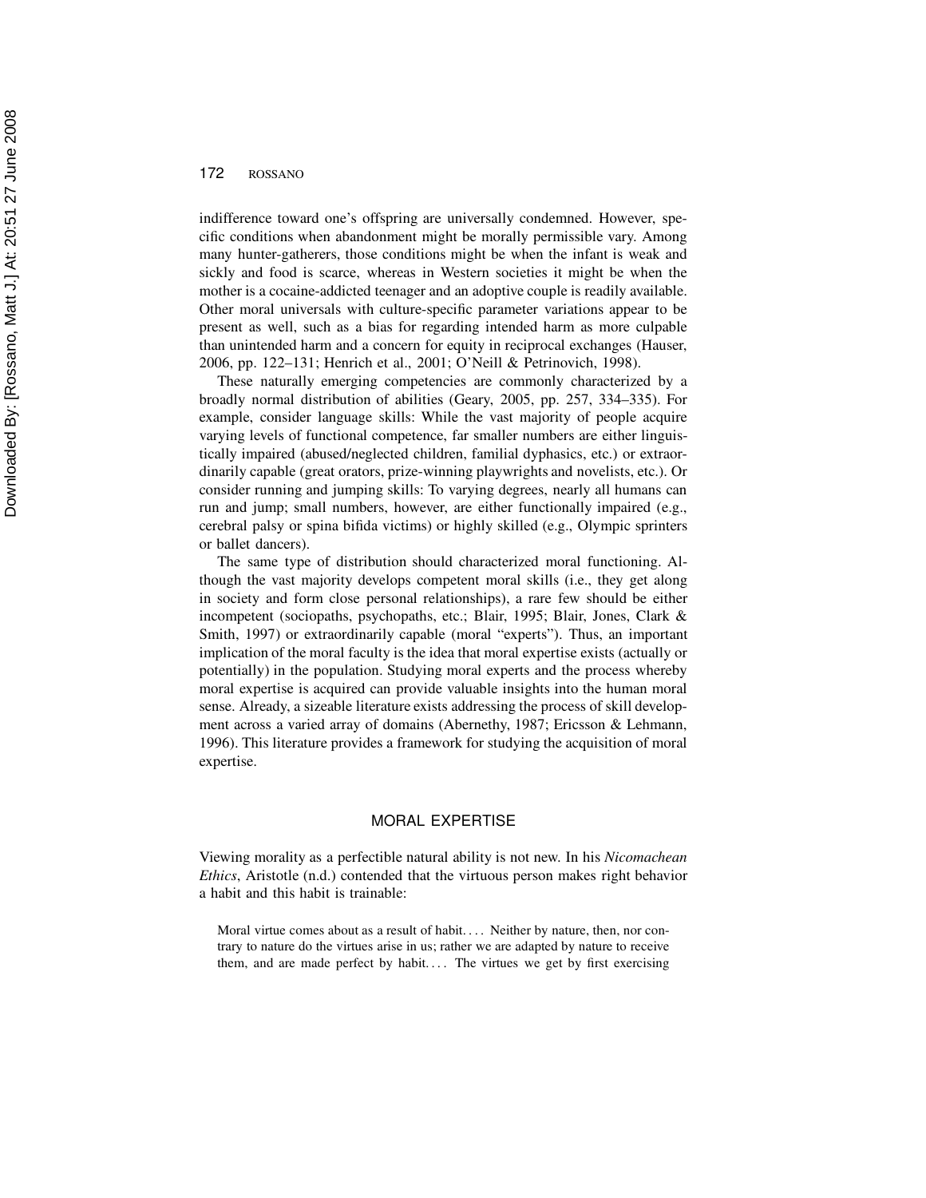indifference toward one's offspring are universally condemned. However, specific conditions when abandonment might be morally permissible vary. Among many hunter-gatherers, those conditions might be when the infant is weak and sickly and food is scarce, whereas in Western societies it might be when the mother is a cocaine-addicted teenager and an adoptive couple is readily available. Other moral universals with culture-specific parameter variations appear to be present as well, such as a bias for regarding intended harm as more culpable than unintended harm and a concern for equity in reciprocal exchanges (Hauser, 2006, pp. 122–131; Henrich et al., 2001; O'Neill & Petrinovich, 1998).

These naturally emerging competencies are commonly characterized by a broadly normal distribution of abilities (Geary, 2005, pp. 257, 334–335). For example, consider language skills: While the vast majority of people acquire varying levels of functional competence, far smaller numbers are either linguistically impaired (abused/neglected children, familial dyphasics, etc.) or extraordinarily capable (great orators, prize-winning playwrights and novelists, etc.). Or consider running and jumping skills: To varying degrees, nearly all humans can run and jump; small numbers, however, are either functionally impaired (e.g., cerebral palsy or spina bifida victims) or highly skilled (e.g., Olympic sprinters or ballet dancers).

The same type of distribution should characterized moral functioning. Although the vast majority develops competent moral skills (i.e., they get along in society and form close personal relationships), a rare few should be either incompetent (sociopaths, psychopaths, etc.; Blair, 1995; Blair, Jones, Clark & Smith, 1997) or extraordinarily capable (moral "experts"). Thus, an important implication of the moral faculty is the idea that moral expertise exists (actually or potentially) in the population. Studying moral experts and the process whereby moral expertise is acquired can provide valuable insights into the human moral sense. Already, a sizeable literature exists addressing the process of skill development across a varied array of domains (Abernethy, 1987; Ericsson & Lehmann, 1996). This literature provides a framework for studying the acquisition of moral expertise.

# MORAL EXPERTISE

Viewing morality as a perfectible natural ability is not new. In his Nicomachean Ethics, Aristotle (n.d.) contended that the virtuous person makes right behavior a habit and this habit is trainable:

Moral virtue comes about as a result of habit.... Neither by nature, then, nor contrary to nature do the virtues arise in us; rather we are adapted by nature to receive them, and are made perfect by habit.... The virtues we get by first exercising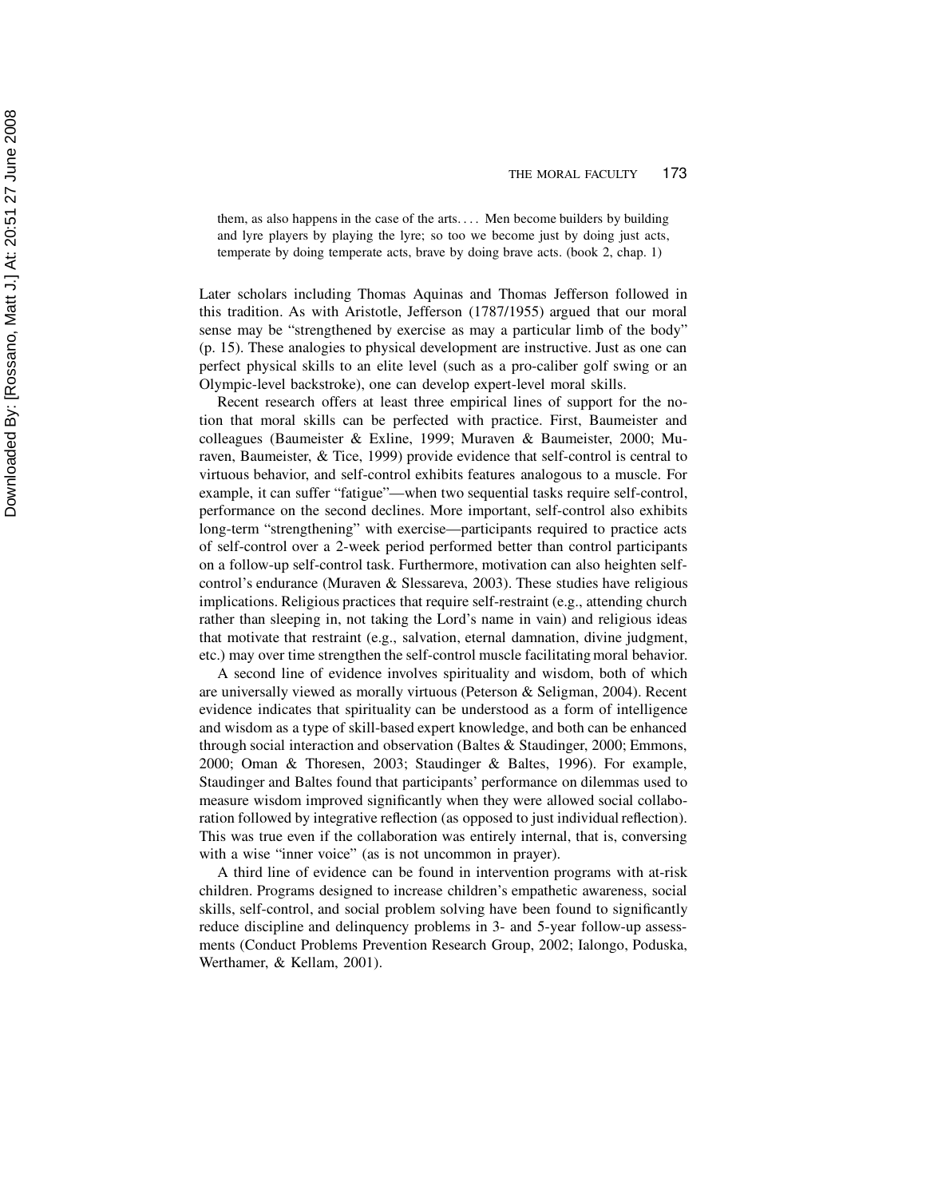them, as also happens in the case of the arts.... Men become builders by building and lyre players by playing the lyre; so too we become just by doing just acts, temperate by doing temperate acts, brave by doing brave acts. (book 2, chap. 1)

Later scholars including Thomas Aquinas and Thomas Jefferson followed in this tradition. As with Aristotle, Jefferson (1787/1955) argued that our moral sense may be "strengthened by exercise as may a particular limb of the body" (p. 15). These analogies to physical development are instructive. Just as one can perfect physical skills to an elite level (such as a pro-caliber golf swing or an Olympic-level backstroke), one can develop expert-level moral skills.

Recent research offers at least three empirical lines of support for the notion that moral skills can be perfected with practice. First, Baumeister and colleagues (Baumeister & Exline, 1999; Muraven & Baumeister, 2000; Muraven, Baumeister, & Tice, 1999) provide evidence that self-control is central to virtuous behavior, and self-control exhibits features analogous to a muscle. For example, it can suffer "fatigue"—when two sequential tasks require self-control, performance on the second declines. More important, self-control also exhibits long-term "strengthening" with exercise—participants required to practice acts of self-control over a 2-week period performed better than control participants on a follow-up self-control task. Furthermore, motivation can also heighten selfcontrol's endurance (Muraven & Slessareva, 2003). These studies have religious implications. Religious practices that require self-restraint (e.g., attending church rather than sleeping in, not taking the Lord's name in vain) and religious ideas that motivate that restraint (e.g., salvation, eternal damnation, divine judgment, etc.) may over time strengthen the self-control muscle facilitating moral behavior.

A second line of evidence involves spirituality and wisdom, both of which are universally viewed as morally virtuous (Peterson & Seligman, 2004). Recent evidence indicates that spirituality can be understood as a form of intelligence and wisdom as a type of skill-based expert knowledge, and both can be enhanced through social interaction and observation (Baltes & Staudinger, 2000; Emmons, 2000; Oman & Thoresen, 2003; Staudinger & Baltes, 1996). For example, Staudinger and Baltes found that participants' performance on dilemmas used to measure wisdom improved significantly when they were allowed social collaboration followed by integrative reflection (as opposed to just individual reflection). This was true even if the collaboration was entirely internal, that is, conversing with a wise "inner voice" (as is not uncommon in prayer).

A third line of evidence can be found in intervention programs with at-risk children. Programs designed to increase children's empathetic awareness, social skills, self-control, and social problem solving have been found to significantly reduce discipline and delinquency problems in 3- and 5-year follow-up assessments (Conduct Problems Prevention Research Group, 2002; Ialongo, Poduska, Werthamer, & Kellam, 2001).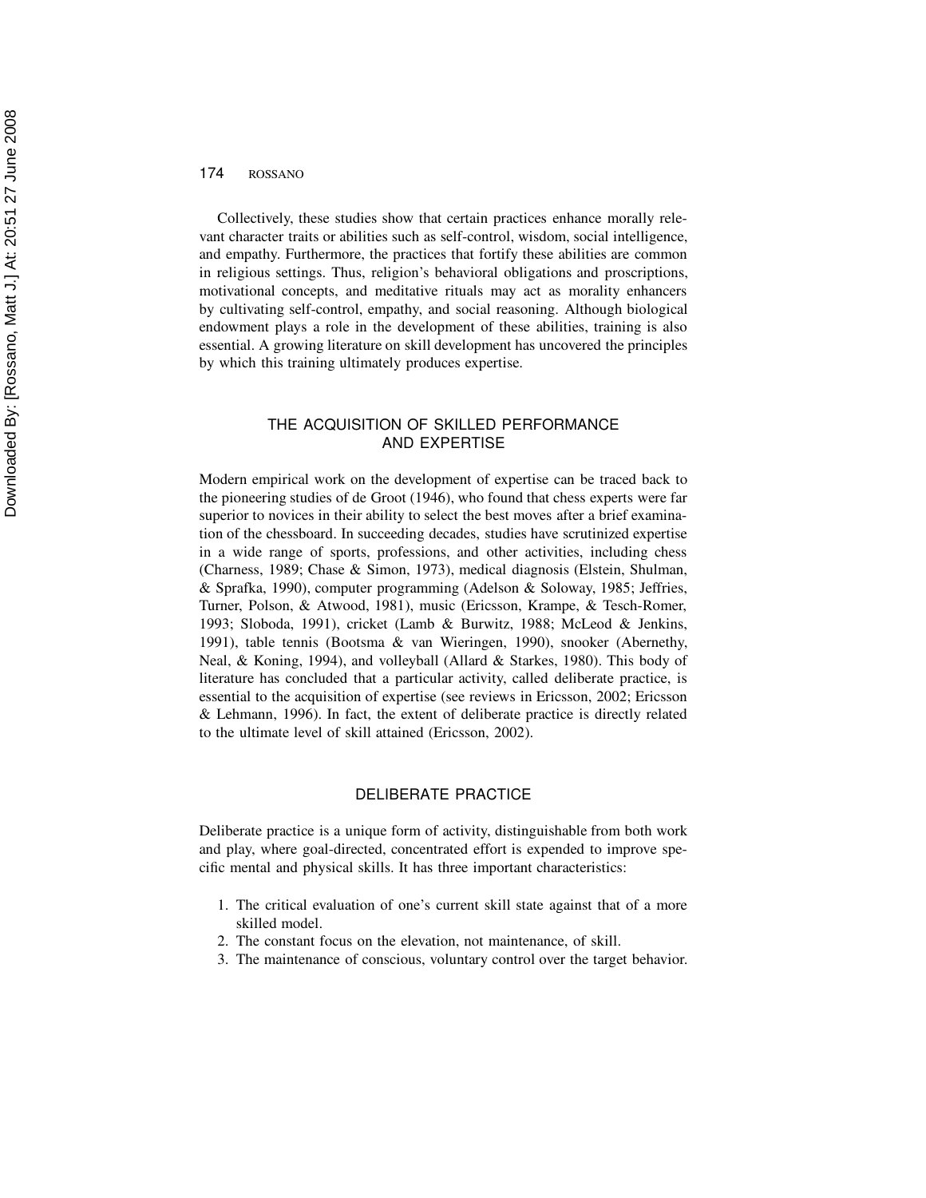Collectively, these studies show that certain practices enhance morally relevant character traits or abilities such as self-control, wisdom, social intelligence, and empathy. Furthermore, the practices that fortify these abilities are common in religious settings. Thus, religion's behavioral obligations and proscriptions, motivational concepts, and meditative rituals may act as morality enhancers by cultivating self-control, empathy, and social reasoning. Although biological endowment plays a role in the development of these abilities, training is also essential. A growing literature on skill development has uncovered the principles by which this training ultimately produces expertise.

# THE ACQUISITION OF SKILLED PERFORMANCE AND EXPERTISE

Modern empirical work on the development of expertise can be traced back to the pioneering studies of de Groot (1946), who found that chess experts were far superior to novices in their ability to select the best moves after a brief examination of the chessboard. In succeeding decades, studies have scrutinized expertise in a wide range of sports, professions, and other activities, including chess (Charness, 1989; Chase & Simon, 1973), medical diagnosis (Elstein, Shulman, & Sprafka, 1990), computer programming (Adelson & Soloway, 1985; Jeffries, Turner, Polson, & Atwood, 1981), music (Ericsson, Krampe, & Tesch-Romer, 1993; Sloboda, 1991), cricket (Lamb & Burwitz, 1988; McLeod & Jenkins, 1991), table tennis (Bootsma & van Wieringen, 1990), snooker (Abernethy, Neal, & Koning, 1994), and volleyball (Allard & Starkes, 1980). This body of literature has concluded that a particular activity, called deliberate practice, is essential to the acquisition of expertise (see reviews in Ericsson, 2002; Ericsson & Lehmann, 1996). In fact, the extent of deliberate practice is directly related to the ultimate level of skill attained (Ericsson, 2002).

# DELIBERATE PRACTICE

Deliberate practice is a unique form of activity, distinguishable from both work and play, where goal-directed, concentrated effort is expended to improve specific mental and physical skills. It has three important characteristics:

- 1. The critical evaluation of one's current skill state against that of a more skilled model.
- 2. The constant focus on the elevation, not maintenance, of skill.
- 3. The maintenance of conscious, voluntary control over the target behavior.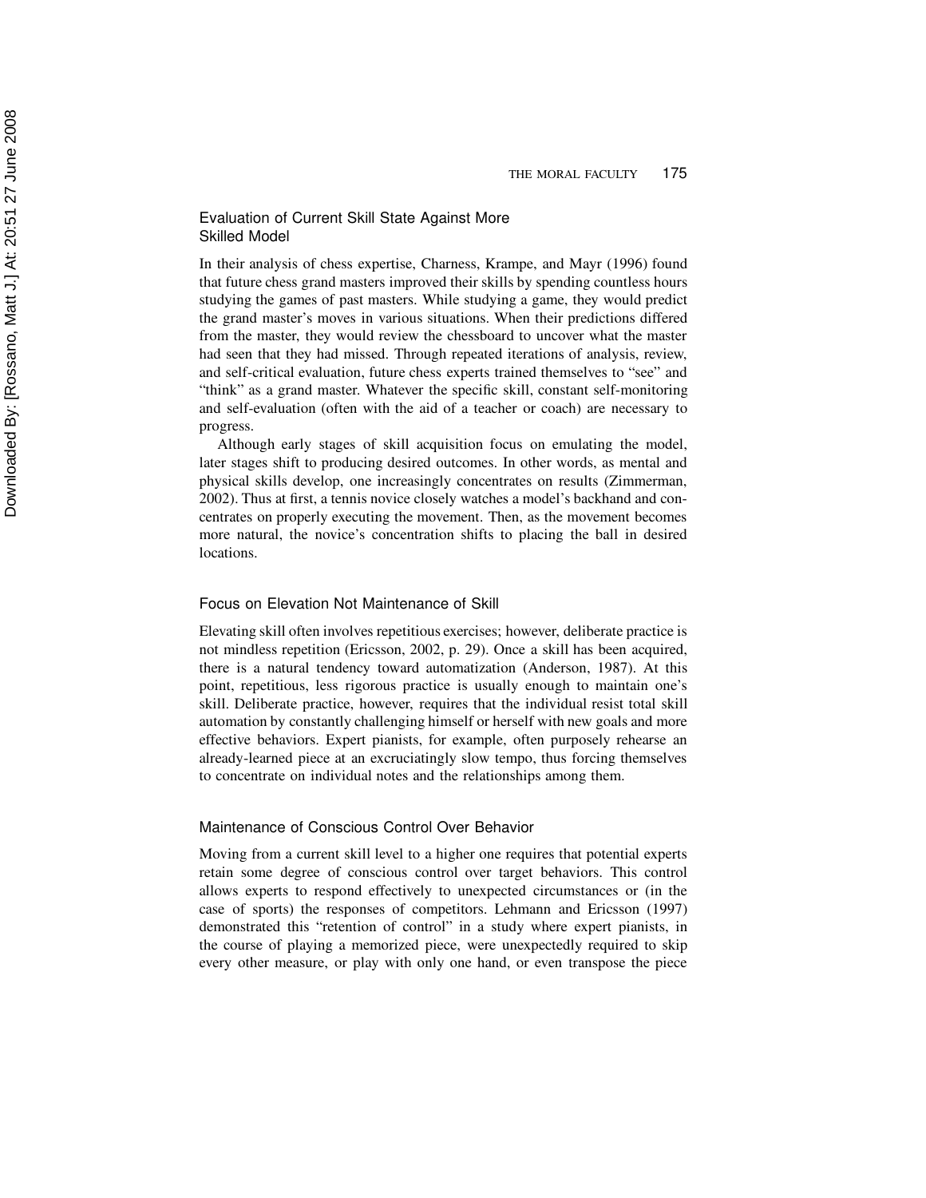# Evaluation of Current Skill State Against More Skilled Model

In their analysis of chess expertise, Charness, Krampe, and Mayr (1996) found that future chess grand masters improved their skills by spending countless hours studying the games of past masters. While studying a game, they would predict the grand master's moves in various situations. When their predictions differed from the master, they would review the chessboard to uncover what the master had seen that they had missed. Through repeated iterations of analysis, review, and self-critical evaluation, future chess experts trained themselves to "see" and "think" as a grand master. Whatever the specific skill, constant self-monitoring and self-evaluation (often with the aid of a teacher or coach) are necessary to progress.

Although early stages of skill acquisition focus on emulating the model, later stages shift to producing desired outcomes. In other words, as mental and physical skills develop, one increasingly concentrates on results (Zimmerman, 2002). Thus at first, a tennis novice closely watches a model's backhand and concentrates on properly executing the movement. Then, as the movement becomes more natural, the novice's concentration shifts to placing the ball in desired locations.

#### Focus on Elevation Not Maintenance of Skill

Elevating skill often involves repetitious exercises; however, deliberate practice is not mindless repetition (Ericsson, 2002, p. 29). Once a skill has been acquired, there is a natural tendency toward automatization (Anderson, 1987). At this point, repetitious, less rigorous practice is usually enough to maintain one's skill. Deliberate practice, however, requires that the individual resist total skill automation by constantly challenging himself or herself with new goals and more effective behaviors. Expert pianists, for example, often purposely rehearse an already-learned piece at an excruciatingly slow tempo, thus forcing themselves to concentrate on individual notes and the relationships among them.

#### Maintenance of Conscious Control Over Behavior

Moving from a current skill level to a higher one requires that potential experts retain some degree of conscious control over target behaviors. This control allows experts to respond effectively to unexpected circumstances or (in the case of sports) the responses of competitors. Lehmann and Ericsson (1997) demonstrated this "retention of control" in a study where expert pianists, in the course of playing a memorized piece, were unexpectedly required to skip every other measure, or play with only one hand, or even transpose the piece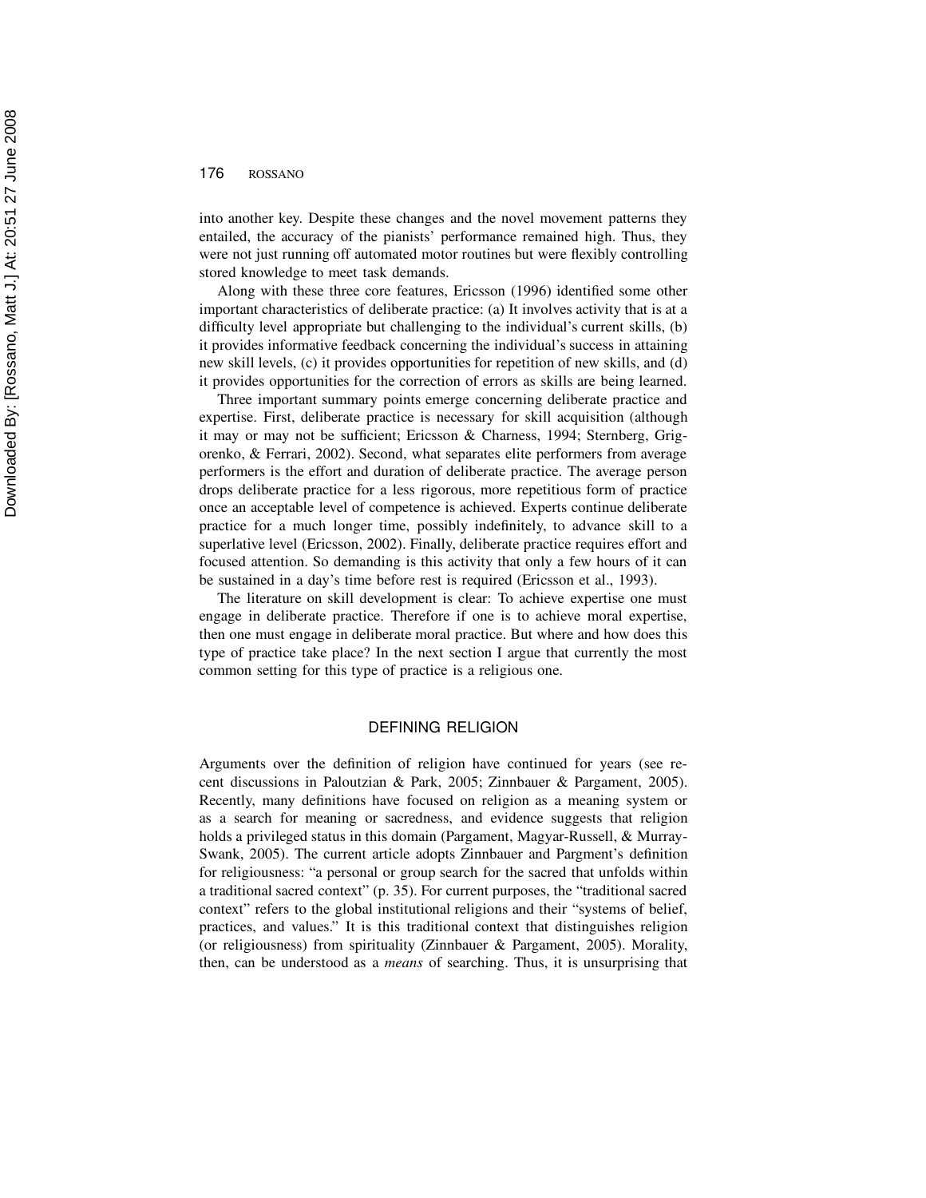into another key. Despite these changes and the novel movement patterns they entailed, the accuracy of the pianists' performance remained high. Thus, they were not just running off automated motor routines but were flexibly controlling stored knowledge to meet task demands.

Along with these three core features, Ericsson (1996) identified some other important characteristics of deliberate practice: (a) It involves activity that is at a difficulty level appropriate but challenging to the individual's current skills, (b) it provides informative feedback concerning the individual's success in attaining new skill levels, (c) it provides opportunities for repetition of new skills, and (d) it provides opportunities for the correction of errors as skills are being learned.

Three important summary points emerge concerning deliberate practice and expertise. First, deliberate practice is necessary for skill acquisition (although it may or may not be sufficient; Ericsson & Charness, 1994; Sternberg, Grigorenko, & Ferrari, 2002). Second, what separates elite performers from average performers is the effort and duration of deliberate practice. The average person drops deliberate practice for a less rigorous, more repetitious form of practice once an acceptable level of competence is achieved. Experts continue deliberate practice for a much longer time, possibly indefinitely, to advance skill to a superlative level (Ericsson, 2002). Finally, deliberate practice requires effort and focused attention. So demanding is this activity that only a few hours of it can be sustained in a day's time before rest is required (Ericsson et al., 1993).

The literature on skill development is clear: To achieve expertise one must engage in deliberate practice. Therefore if one is to achieve moral expertise, then one must engage in deliberate moral practice. But where and how does this type of practice take place? In the next section I argue that currently the most common setting for this type of practice is a religious one.

# DEFINING RELIGION

Arguments over the definition of religion have continued for years (see recent discussions in Paloutzian & Park, 2005; Zinnbauer & Pargament, 2005). Recently, many definitions have focused on religion as a meaning system or as a search for meaning or sacredness, and evidence suggests that religion holds a privileged status in this domain (Pargament, Magyar-Russell, & Murray-Swank, 2005). The current article adopts Zinnbauer and Pargment's definition for religiousness: "a personal or group search for the sacred that unfolds within a traditional sacred context" (p. 35). For current purposes, the "traditional sacred context" refers to the global institutional religions and their "systems of belief, practices, and values." It is this traditional context that distinguishes religion (or religiousness) from spirituality (Zinnbauer & Pargament, 2005). Morality, then, can be understood as a means of searching. Thus, it is unsurprising that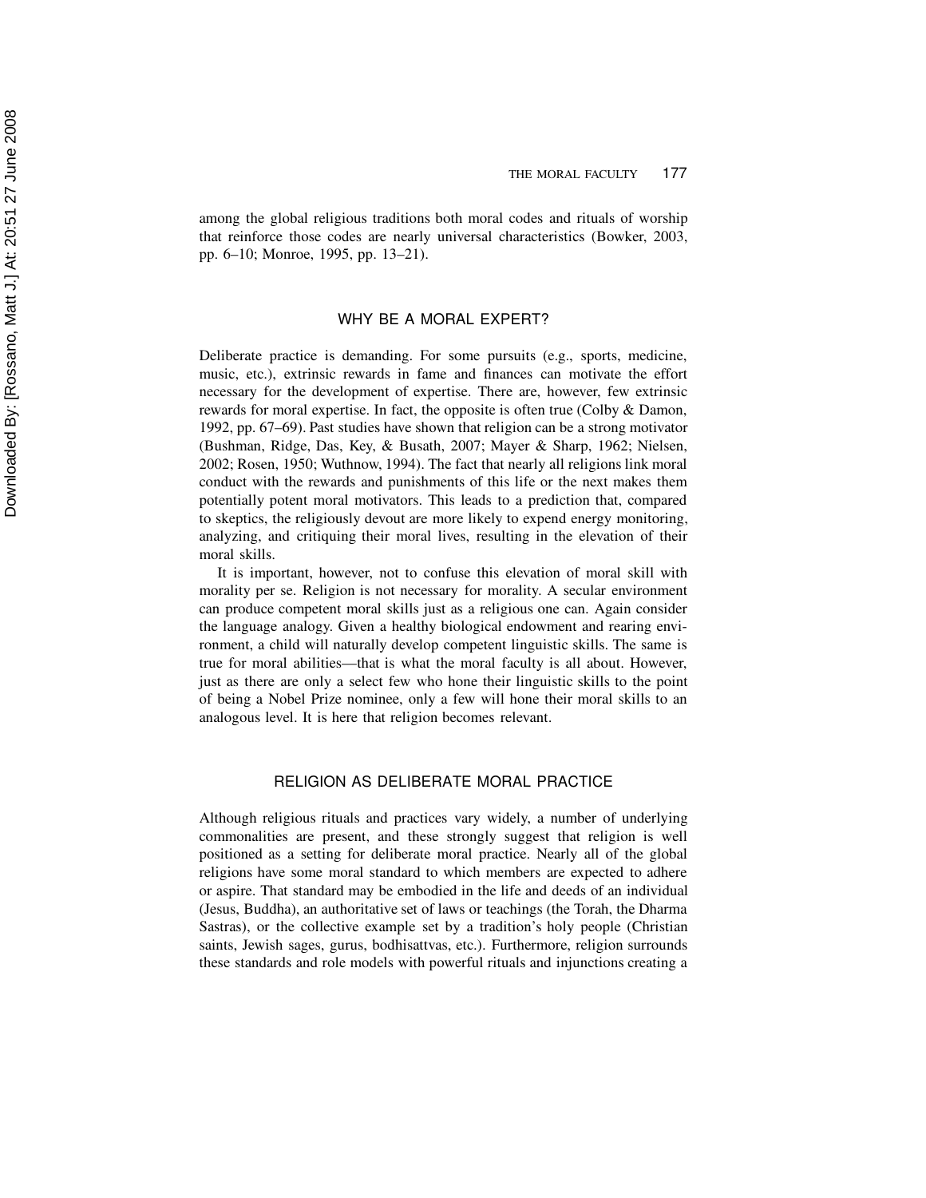among the global religious traditions both moral codes and rituals of worship that reinforce those codes are nearly universal characteristics (Bowker, 2003, pp. 6–10; Monroe, 1995, pp. 13–21).

# WHY BE A MORAL EXPERT?

Deliberate practice is demanding. For some pursuits (e.g., sports, medicine, music, etc.), extrinsic rewards in fame and finances can motivate the effort necessary for the development of expertise. There are, however, few extrinsic rewards for moral expertise. In fact, the opposite is often true (Colby & Damon, 1992, pp. 67–69). Past studies have shown that religion can be a strong motivator (Bushman, Ridge, Das, Key, & Busath, 2007; Mayer & Sharp, 1962; Nielsen, 2002; Rosen, 1950; Wuthnow, 1994). The fact that nearly all religions link moral conduct with the rewards and punishments of this life or the next makes them potentially potent moral motivators. This leads to a prediction that, compared to skeptics, the religiously devout are more likely to expend energy monitoring, analyzing, and critiquing their moral lives, resulting in the elevation of their moral skills.

It is important, however, not to confuse this elevation of moral skill with morality per se. Religion is not necessary for morality. A secular environment can produce competent moral skills just as a religious one can. Again consider the language analogy. Given a healthy biological endowment and rearing environment, a child will naturally develop competent linguistic skills. The same is true for moral abilities—that is what the moral faculty is all about. However, just as there are only a select few who hone their linguistic skills to the point of being a Nobel Prize nominee, only a few will hone their moral skills to an analogous level. It is here that religion becomes relevant.

# RELIGION AS DELIBERATE MORAL PRACTICE

Although religious rituals and practices vary widely, a number of underlying commonalities are present, and these strongly suggest that religion is well positioned as a setting for deliberate moral practice. Nearly all of the global religions have some moral standard to which members are expected to adhere or aspire. That standard may be embodied in the life and deeds of an individual (Jesus, Buddha), an authoritative set of laws or teachings (the Torah, the Dharma Sastras), or the collective example set by a tradition's holy people (Christian saints, Jewish sages, gurus, bodhisattvas, etc.). Furthermore, religion surrounds these standards and role models with powerful rituals and injunctions creating a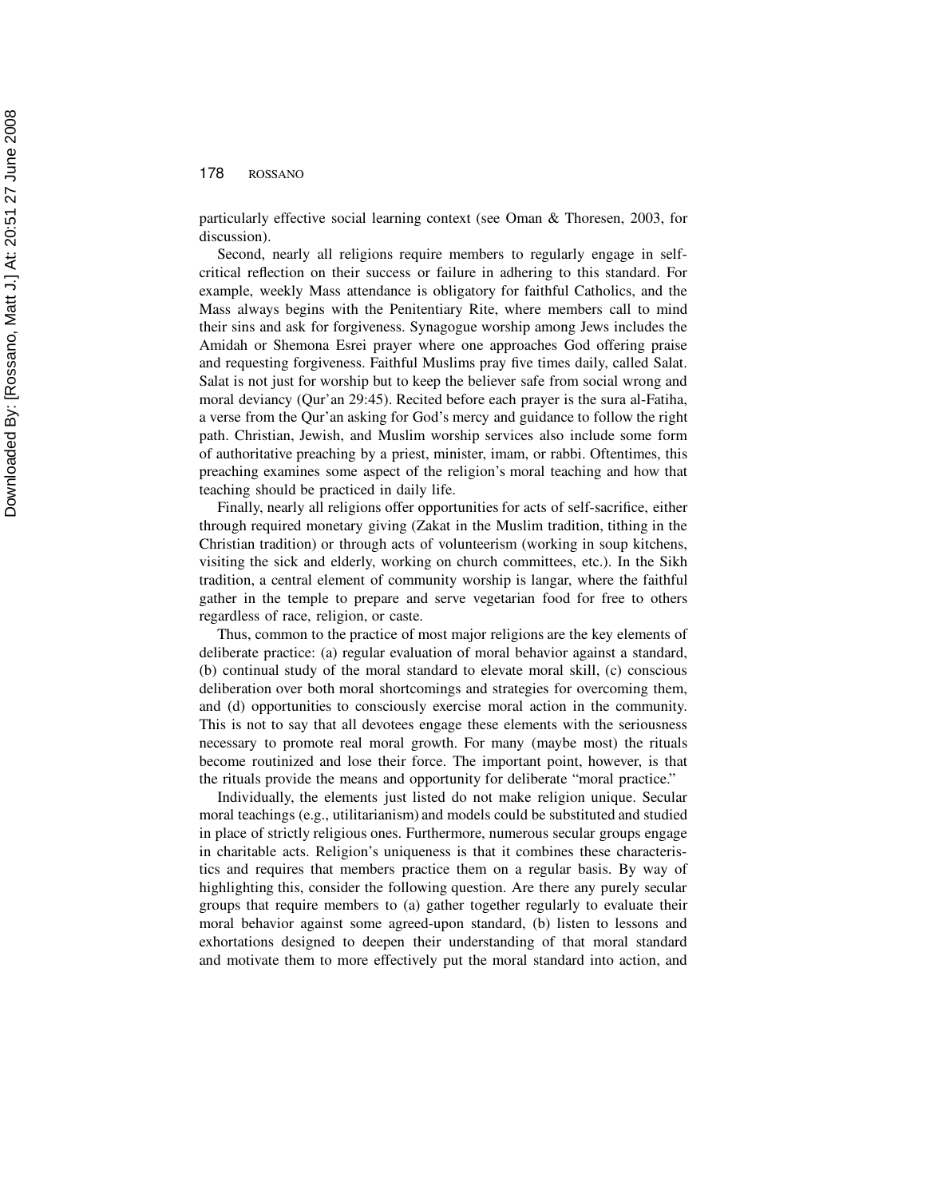particularly effective social learning context (see Oman & Thoresen, 2003, for discussion).

Second, nearly all religions require members to regularly engage in selfcritical reflection on their success or failure in adhering to this standard. For example, weekly Mass attendance is obligatory for faithful Catholics, and the Mass always begins with the Penitentiary Rite, where members call to mind their sins and ask for forgiveness. Synagogue worship among Jews includes the Amidah or Shemona Esrei prayer where one approaches God offering praise and requesting forgiveness. Faithful Muslims pray five times daily, called Salat. Salat is not just for worship but to keep the believer safe from social wrong and moral deviancy (Qur'an 29:45). Recited before each prayer is the sura al-Fatiha, a verse from the Qur'an asking for God's mercy and guidance to follow the right path. Christian, Jewish, and Muslim worship services also include some form of authoritative preaching by a priest, minister, imam, or rabbi. Oftentimes, this preaching examines some aspect of the religion's moral teaching and how that teaching should be practiced in daily life.

Finally, nearly all religions offer opportunities for acts of self-sacrifice, either through required monetary giving (Zakat in the Muslim tradition, tithing in the Christian tradition) or through acts of volunteerism (working in soup kitchens, visiting the sick and elderly, working on church committees, etc.). In the Sikh tradition, a central element of community worship is langar, where the faithful gather in the temple to prepare and serve vegetarian food for free to others regardless of race, religion, or caste.

Thus, common to the practice of most major religions are the key elements of deliberate practice: (a) regular evaluation of moral behavior against a standard, (b) continual study of the moral standard to elevate moral skill, (c) conscious deliberation over both moral shortcomings and strategies for overcoming them, and (d) opportunities to consciously exercise moral action in the community. This is not to say that all devotees engage these elements with the seriousness necessary to promote real moral growth. For many (maybe most) the rituals become routinized and lose their force. The important point, however, is that the rituals provide the means and opportunity for deliberate "moral practice."

Individually, the elements just listed do not make religion unique. Secular moral teachings (e.g., utilitarianism) and models could be substituted and studied in place of strictly religious ones. Furthermore, numerous secular groups engage in charitable acts. Religion's uniqueness is that it combines these characteristics and requires that members practice them on a regular basis. By way of highlighting this, consider the following question. Are there any purely secular groups that require members to (a) gather together regularly to evaluate their moral behavior against some agreed-upon standard, (b) listen to lessons and exhortations designed to deepen their understanding of that moral standard and motivate them to more effectively put the moral standard into action, and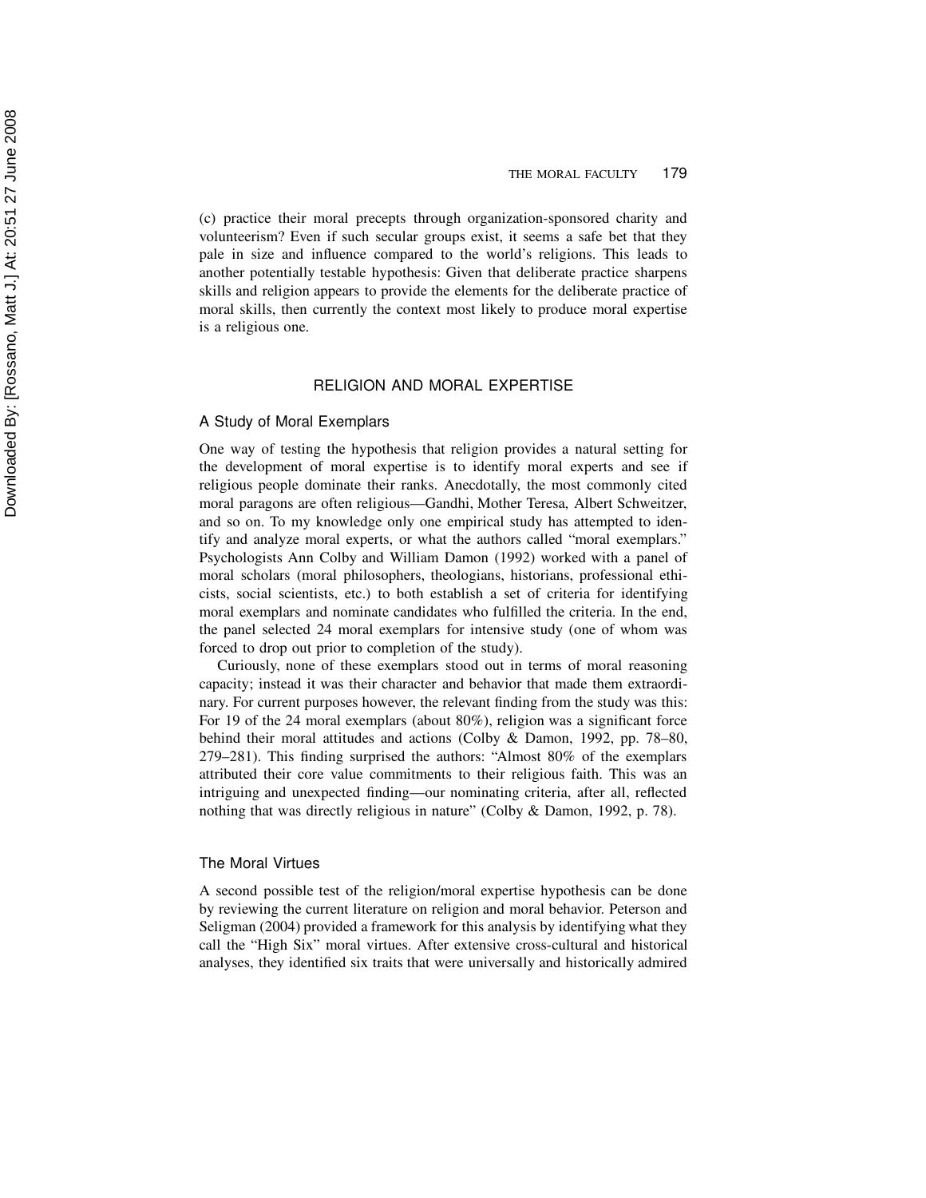(c) practice their moral precepts through organization-sponsored charity and volunteerism? Even if such secular groups exist, it seems a safe bet that they pale in size and influence compared to the world's religions. This leads to another potentially testable hypothesis: Given that deliberate practice sharpens skills and religion appears to provide the elements for the deliberate practice of moral skills, then currently the context most likely to produce moral expertise is a religious one.

### RELIGION AND MORAL EXPERTISE

#### A Study of Moral Exemplars

One way of testing the hypothesis that religion provides a natural setting for the development of moral expertise is to identify moral experts and see if religious people dominate their ranks. Anecdotally, the most commonly cited moral paragons are often religious—Gandhi, Mother Teresa, Albert Schweitzer, and so on. To my knowledge only one empirical study has attempted to identify and analyze moral experts, or what the authors called "moral exemplars." Psychologists Ann Colby and William Damon (1992) worked with a panel of moral scholars (moral philosophers, theologians, historians, professional ethicists, social scientists, etc.) to both establish a set of criteria for identifying moral exemplars and nominate candidates who fulfilled the criteria. In the end, the panel selected 24 moral exemplars for intensive study (one of whom was forced to drop out prior to completion of the study).

Curiously, none of these exemplars stood out in terms of moral reasoning capacity; instead it was their character and behavior that made them extraordinary. For current purposes however, the relevant finding from the study was this: For 19 of the 24 moral exemplars (about 80%), religion was a significant force behind their moral attitudes and actions (Colby & Damon, 1992, pp. 78–80, 279–281). This finding surprised the authors: "Almost 80% of the exemplars attributed their core value commitments to their religious faith. This was an intriguing and unexpected finding—our nominating criteria, after all, reflected nothing that was directly religious in nature" (Colby & Damon, 1992, p. 78).

#### The Moral Virtues

A second possible test of the religion/moral expertise hypothesis can be done by reviewing the current literature on religion and moral behavior. Peterson and Seligman (2004) provided a framework for this analysis by identifying what they call the "High Six" moral virtues. After extensive cross-cultural and historical analyses, they identified six traits that were universally and historically admired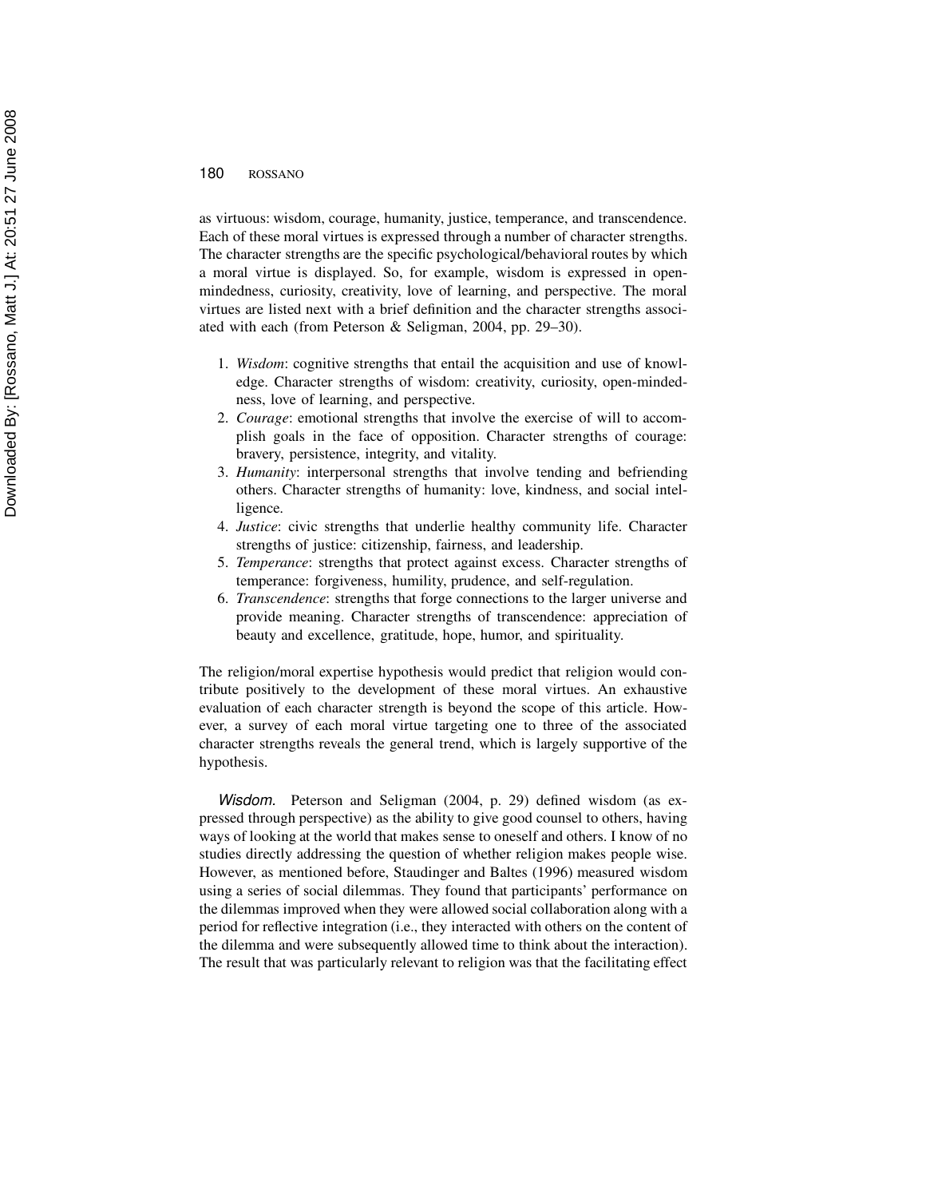as virtuous: wisdom, courage, humanity, justice, temperance, and transcendence. Each of these moral virtues is expressed through a number of character strengths. The character strengths are the specific psychological/behavioral routes by which a moral virtue is displayed. So, for example, wisdom is expressed in openmindedness, curiosity, creativity, love of learning, and perspective. The moral virtues are listed next with a brief definition and the character strengths associated with each (from Peterson & Seligman, 2004, pp. 29–30).

- 1. Wisdom: cognitive strengths that entail the acquisition and use of knowledge. Character strengths of wisdom: creativity, curiosity, open-mindedness, love of learning, and perspective.
- 2. Courage: emotional strengths that involve the exercise of will to accomplish goals in the face of opposition. Character strengths of courage: bravery, persistence, integrity, and vitality.
- 3. Humanity: interpersonal strengths that involve tending and befriending others. Character strengths of humanity: love, kindness, and social intelligence.
- 4. Justice: civic strengths that underlie healthy community life. Character strengths of justice: citizenship, fairness, and leadership.
- 5. Temperance: strengths that protect against excess. Character strengths of temperance: forgiveness, humility, prudence, and self-regulation.
- 6. Transcendence: strengths that forge connections to the larger universe and provide meaning. Character strengths of transcendence: appreciation of beauty and excellence, gratitude, hope, humor, and spirituality.

The religion/moral expertise hypothesis would predict that religion would contribute positively to the development of these moral virtues. An exhaustive evaluation of each character strength is beyond the scope of this article. However, a survey of each moral virtue targeting one to three of the associated character strengths reveals the general trend, which is largely supportive of the hypothesis.

Wisdom. Peterson and Seligman (2004, p. 29) defined wisdom (as expressed through perspective) as the ability to give good counsel to others, having ways of looking at the world that makes sense to oneself and others. I know of no studies directly addressing the question of whether religion makes people wise. However, as mentioned before, Staudinger and Baltes (1996) measured wisdom using a series of social dilemmas. They found that participants' performance on the dilemmas improved when they were allowed social collaboration along with a period for reflective integration (i.e., they interacted with others on the content of the dilemma and were subsequently allowed time to think about the interaction). The result that was particularly relevant to religion was that the facilitating effect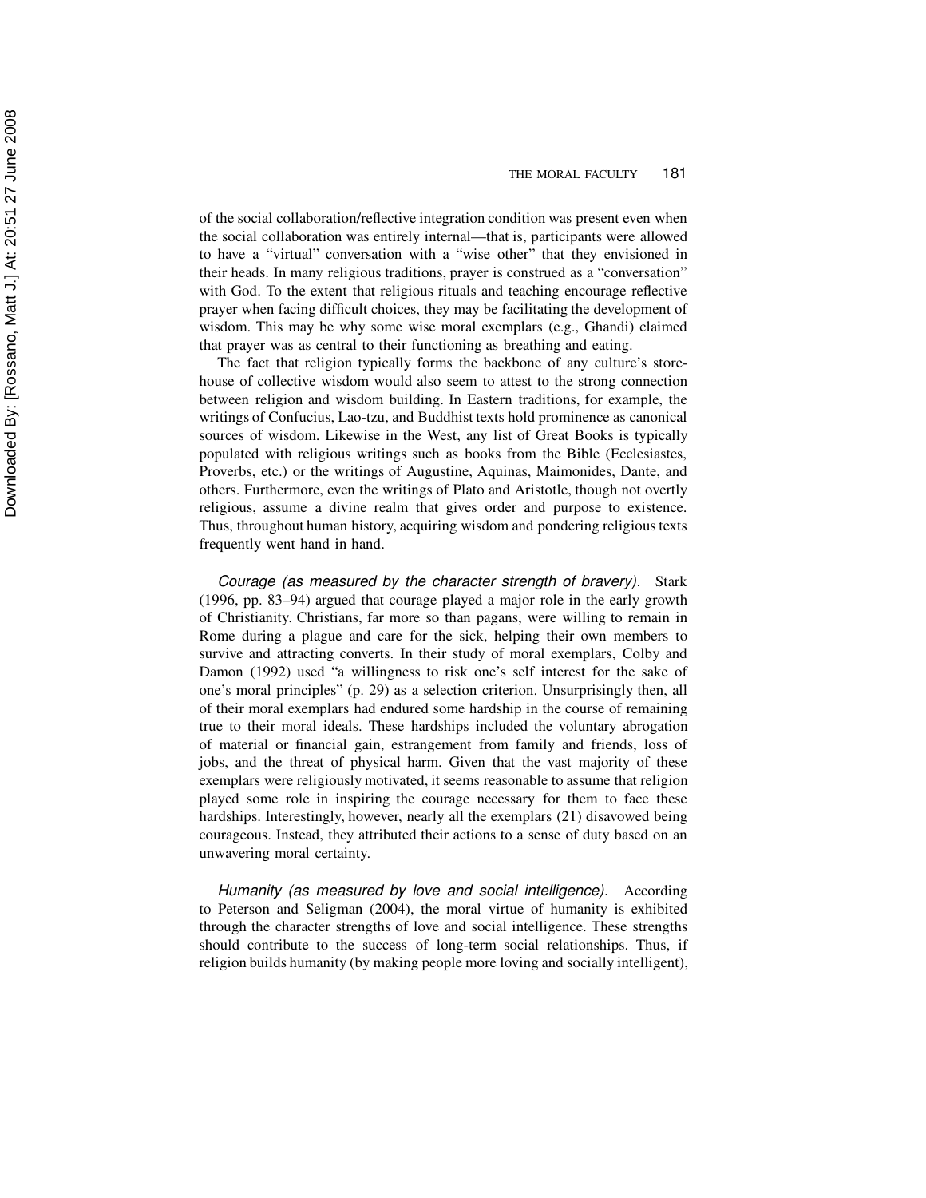of the social collaboration/reflective integration condition was present even when the social collaboration was entirely internal—that is, participants were allowed to have a "virtual" conversation with a "wise other" that they envisioned in their heads. In many religious traditions, prayer is construed as a "conversation" with God. To the extent that religious rituals and teaching encourage reflective prayer when facing difficult choices, they may be facilitating the development of wisdom. This may be why some wise moral exemplars (e.g., Ghandi) claimed that prayer was as central to their functioning as breathing and eating.

The fact that religion typically forms the backbone of any culture's storehouse of collective wisdom would also seem to attest to the strong connection between religion and wisdom building. In Eastern traditions, for example, the writings of Confucius, Lao-tzu, and Buddhist texts hold prominence as canonical sources of wisdom. Likewise in the West, any list of Great Books is typically populated with religious writings such as books from the Bible (Ecclesiastes, Proverbs, etc.) or the writings of Augustine, Aquinas, Maimonides, Dante, and others. Furthermore, even the writings of Plato and Aristotle, though not overtly religious, assume a divine realm that gives order and purpose to existence. Thus, throughout human history, acquiring wisdom and pondering religious texts frequently went hand in hand.

Courage (as measured by the character strength of bravery). Stark (1996, pp. 83–94) argued that courage played a major role in the early growth of Christianity. Christians, far more so than pagans, were willing to remain in Rome during a plague and care for the sick, helping their own members to survive and attracting converts. In their study of moral exemplars, Colby and Damon (1992) used "a willingness to risk one's self interest for the sake of one's moral principles" (p. 29) as a selection criterion. Unsurprisingly then, all of their moral exemplars had endured some hardship in the course of remaining true to their moral ideals. These hardships included the voluntary abrogation of material or financial gain, estrangement from family and friends, loss of jobs, and the threat of physical harm. Given that the vast majority of these exemplars were religiously motivated, it seems reasonable to assume that religion played some role in inspiring the courage necessary for them to face these hardships. Interestingly, however, nearly all the exemplars (21) disavowed being courageous. Instead, they attributed their actions to a sense of duty based on an unwavering moral certainty.

Humanity (as measured by love and social intelligence). According to Peterson and Seligman (2004), the moral virtue of humanity is exhibited through the character strengths of love and social intelligence. These strengths should contribute to the success of long-term social relationships. Thus, if religion builds humanity (by making people more loving and socially intelligent),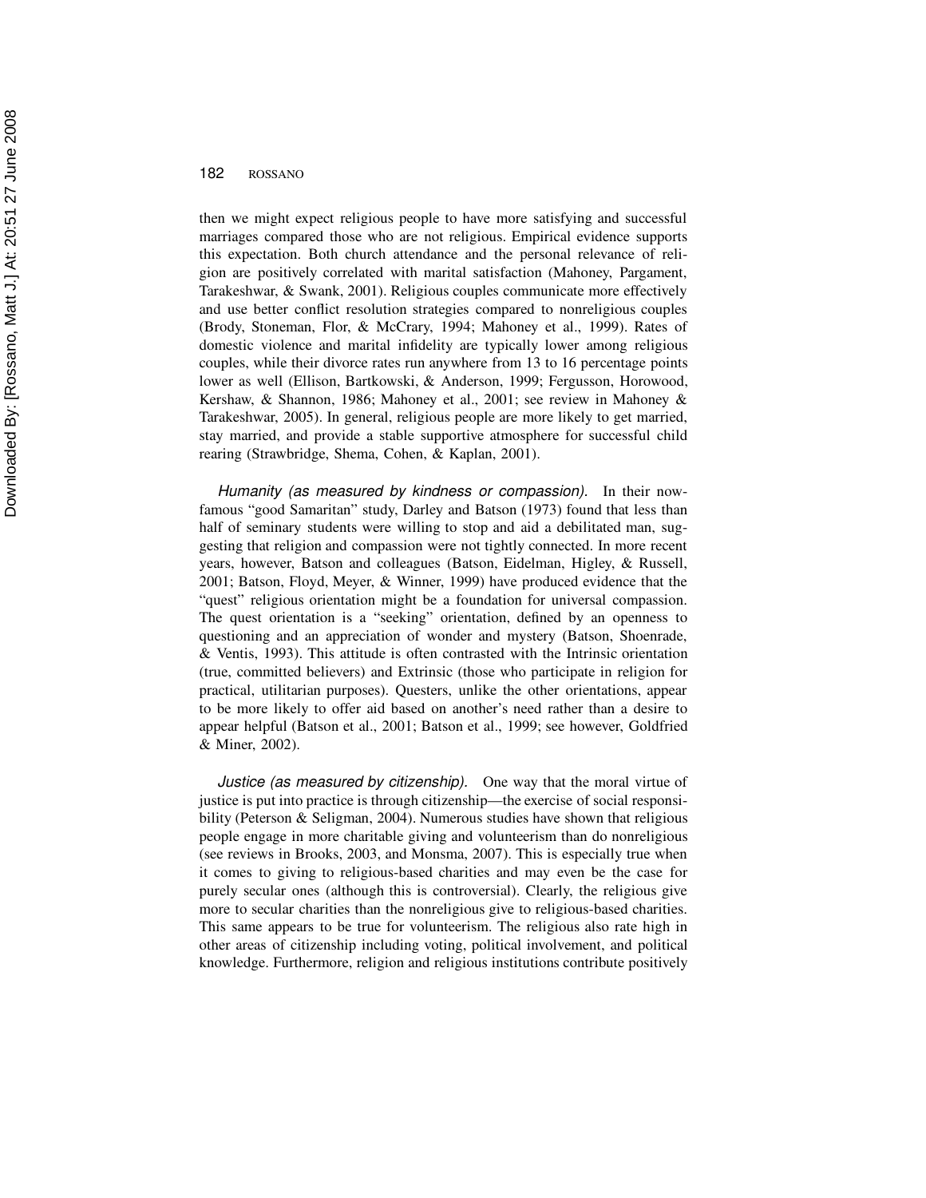then we might expect religious people to have more satisfying and successful marriages compared those who are not religious. Empirical evidence supports this expectation. Both church attendance and the personal relevance of religion are positively correlated with marital satisfaction (Mahoney, Pargament, Tarakeshwar, & Swank, 2001). Religious couples communicate more effectively and use better conflict resolution strategies compared to nonreligious couples (Brody, Stoneman, Flor, & McCrary, 1994; Mahoney et al., 1999). Rates of domestic violence and marital infidelity are typically lower among religious couples, while their divorce rates run anywhere from 13 to 16 percentage points lower as well (Ellison, Bartkowski, & Anderson, 1999; Fergusson, Horowood, Kershaw, & Shannon, 1986; Mahoney et al., 2001; see review in Mahoney & Tarakeshwar, 2005). In general, religious people are more likely to get married, stay married, and provide a stable supportive atmosphere for successful child rearing (Strawbridge, Shema, Cohen, & Kaplan, 2001).

Humanity (as measured by kindness or compassion). In their nowfamous "good Samaritan" study, Darley and Batson (1973) found that less than half of seminary students were willing to stop and aid a debilitated man, suggesting that religion and compassion were not tightly connected. In more recent years, however, Batson and colleagues (Batson, Eidelman, Higley, & Russell, 2001; Batson, Floyd, Meyer, & Winner, 1999) have produced evidence that the "quest" religious orientation might be a foundation for universal compassion. The quest orientation is a "seeking" orientation, defined by an openness to questioning and an appreciation of wonder and mystery (Batson, Shoenrade, & Ventis, 1993). This attitude is often contrasted with the Intrinsic orientation (true, committed believers) and Extrinsic (those who participate in religion for practical, utilitarian purposes). Questers, unlike the other orientations, appear to be more likely to offer aid based on another's need rather than a desire to appear helpful (Batson et al., 2001; Batson et al., 1999; see however, Goldfried & Miner, 2002).

Justice (as measured by citizenship). One way that the moral virtue of justice is put into practice is through citizenship—the exercise of social responsibility (Peterson & Seligman, 2004). Numerous studies have shown that religious people engage in more charitable giving and volunteerism than do nonreligious (see reviews in Brooks, 2003, and Monsma, 2007). This is especially true when it comes to giving to religious-based charities and may even be the case for purely secular ones (although this is controversial). Clearly, the religious give more to secular charities than the nonreligious give to religious-based charities. This same appears to be true for volunteerism. The religious also rate high in other areas of citizenship including voting, political involvement, and political knowledge. Furthermore, religion and religious institutions contribute positively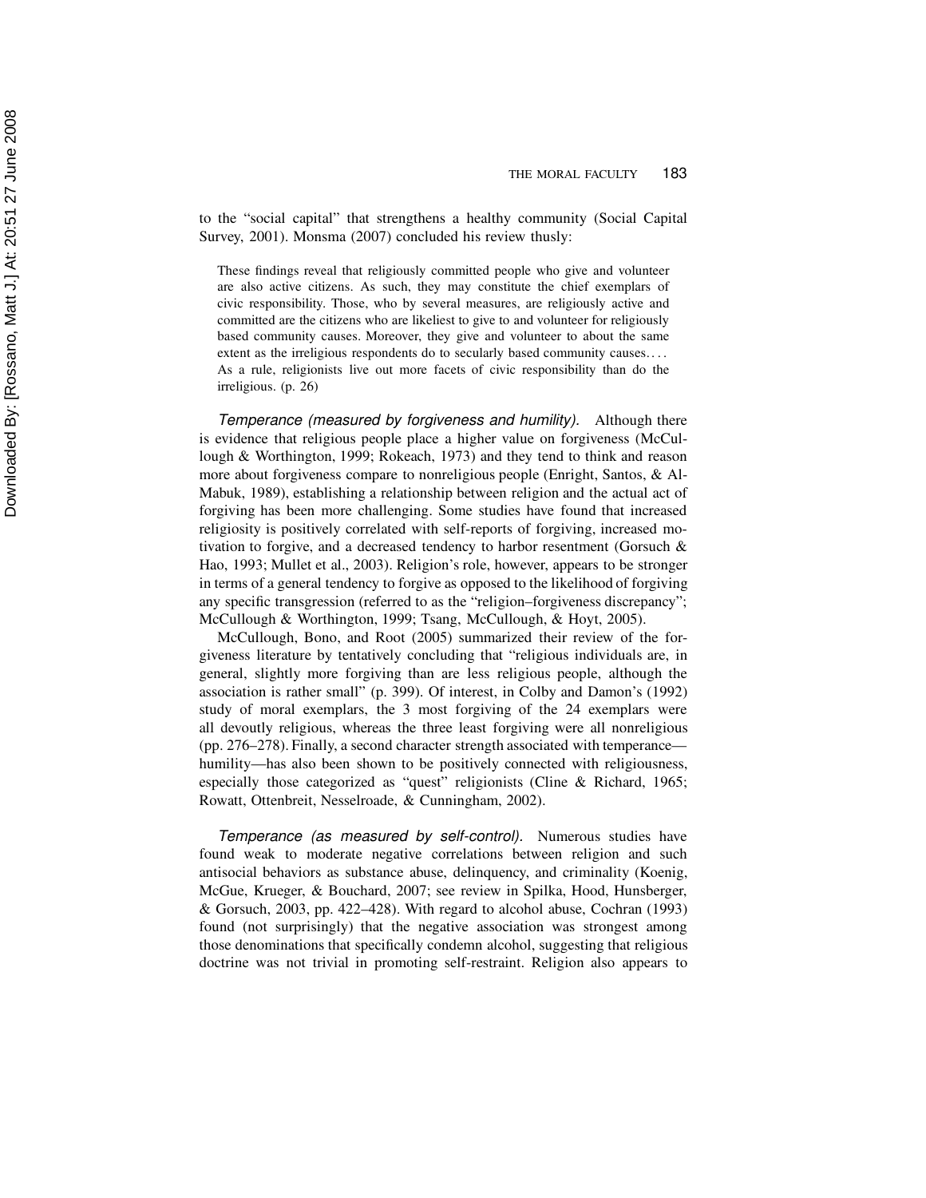to the "social capital" that strengthens a healthy community (Social Capital Survey, 2001). Monsma (2007) concluded his review thusly:

These findings reveal that religiously committed people who give and volunteer are also active citizens. As such, they may constitute the chief exemplars of civic responsibility. Those, who by several measures, are religiously active and committed are the citizens who are likeliest to give to and volunteer for religiously based community causes. Moreover, they give and volunteer to about the same extent as the irreligious respondents do to secularly based community causes.... As a rule, religionists live out more facets of civic responsibility than do the irreligious. (p. 26)

Temperance (measured by forgiveness and humility). Although there is evidence that religious people place a higher value on forgiveness (McCullough & Worthington, 1999; Rokeach, 1973) and they tend to think and reason more about forgiveness compare to nonreligious people (Enright, Santos, & Al-Mabuk, 1989), establishing a relationship between religion and the actual act of forgiving has been more challenging. Some studies have found that increased religiosity is positively correlated with self-reports of forgiving, increased motivation to forgive, and a decreased tendency to harbor resentment (Gorsuch & Hao, 1993; Mullet et al., 2003). Religion's role, however, appears to be stronger in terms of a general tendency to forgive as opposed to the likelihood of forgiving any specific transgression (referred to as the "religion–forgiveness discrepancy"; McCullough & Worthington, 1999; Tsang, McCullough, & Hoyt, 2005).

McCullough, Bono, and Root (2005) summarized their review of the forgiveness literature by tentatively concluding that "religious individuals are, in general, slightly more forgiving than are less religious people, although the association is rather small" (p. 399). Of interest, in Colby and Damon's (1992) study of moral exemplars, the 3 most forgiving of the 24 exemplars were all devoutly religious, whereas the three least forgiving were all nonreligious (pp. 276–278). Finally, a second character strength associated with temperance humility—has also been shown to be positively connected with religiousness, especially those categorized as "quest" religionists (Cline & Richard, 1965; Rowatt, Ottenbreit, Nesselroade, & Cunningham, 2002).

Temperance (as measured by self-control). Numerous studies have found weak to moderate negative correlations between religion and such antisocial behaviors as substance abuse, delinquency, and criminality (Koenig, McGue, Krueger, & Bouchard, 2007; see review in Spilka, Hood, Hunsberger, & Gorsuch, 2003, pp. 422–428). With regard to alcohol abuse, Cochran (1993) found (not surprisingly) that the negative association was strongest among those denominations that specifically condemn alcohol, suggesting that religious doctrine was not trivial in promoting self-restraint. Religion also appears to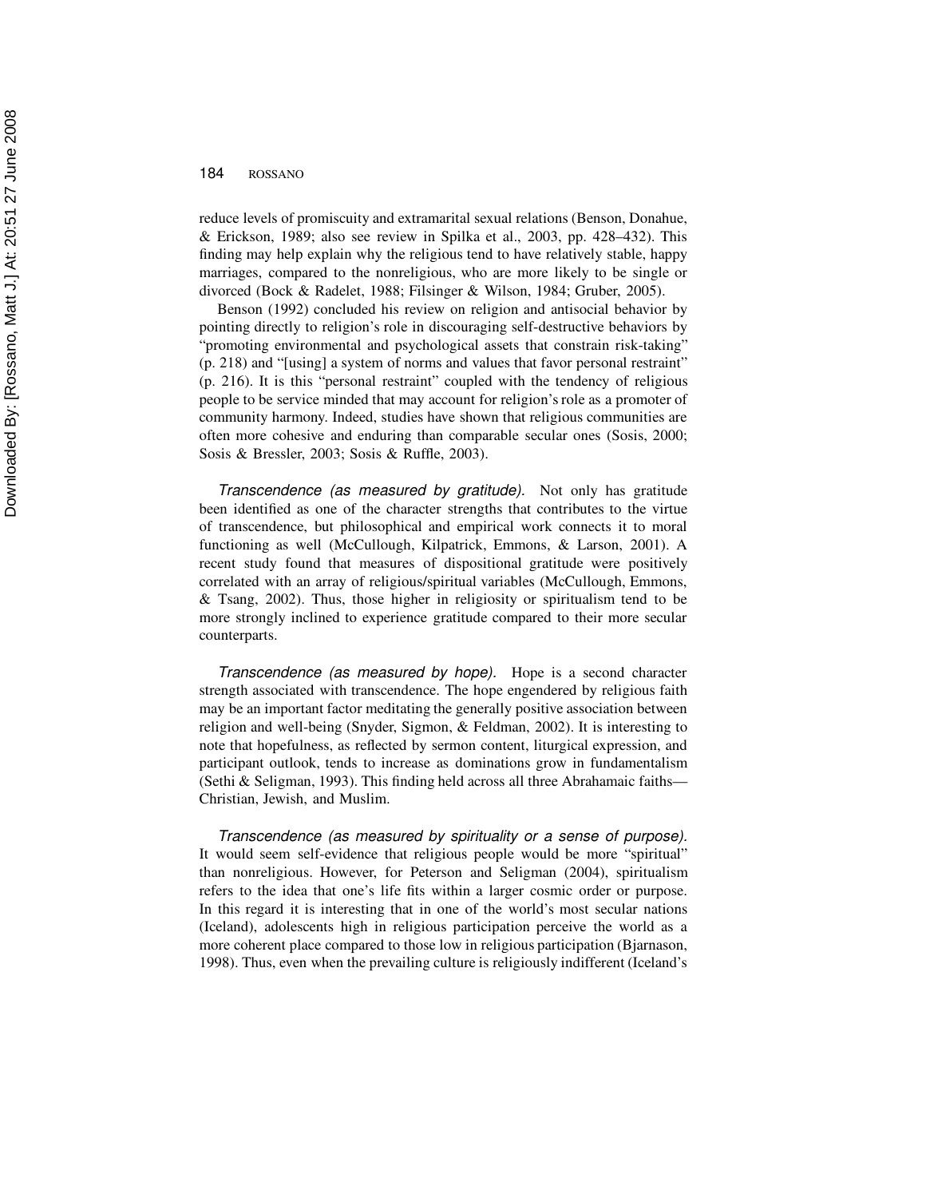reduce levels of promiscuity and extramarital sexual relations (Benson, Donahue, & Erickson, 1989; also see review in Spilka et al., 2003, pp. 428–432). This finding may help explain why the religious tend to have relatively stable, happy marriages, compared to the nonreligious, who are more likely to be single or divorced (Bock & Radelet, 1988; Filsinger & Wilson, 1984; Gruber, 2005).

Benson (1992) concluded his review on religion and antisocial behavior by pointing directly to religion's role in discouraging self-destructive behaviors by "promoting environmental and psychological assets that constrain risk-taking" (p. 218) and "[using] a system of norms and values that favor personal restraint" (p. 216). It is this "personal restraint" coupled with the tendency of religious people to be service minded that may account for religion's role as a promoter of community harmony. Indeed, studies have shown that religious communities are often more cohesive and enduring than comparable secular ones (Sosis, 2000; Sosis & Bressler, 2003; Sosis & Ruffle, 2003).

Transcendence (as measured by gratitude). Not only has gratitude been identified as one of the character strengths that contributes to the virtue of transcendence, but philosophical and empirical work connects it to moral functioning as well (McCullough, Kilpatrick, Emmons, & Larson, 2001). A recent study found that measures of dispositional gratitude were positively correlated with an array of religious/spiritual variables (McCullough, Emmons, & Tsang, 2002). Thus, those higher in religiosity or spiritualism tend to be more strongly inclined to experience gratitude compared to their more secular counterparts.

Transcendence (as measured by hope). Hope is a second character strength associated with transcendence. The hope engendered by religious faith may be an important factor meditating the generally positive association between religion and well-being (Snyder, Sigmon, & Feldman, 2002). It is interesting to note that hopefulness, as reflected by sermon content, liturgical expression, and participant outlook, tends to increase as dominations grow in fundamentalism (Sethi & Seligman, 1993). This finding held across all three Abrahamaic faiths— Christian, Jewish, and Muslim.

Transcendence (as measured by spirituality or a sense of purpose). It would seem self-evidence that religious people would be more "spiritual" than nonreligious. However, for Peterson and Seligman (2004), spiritualism refers to the idea that one's life fits within a larger cosmic order or purpose. In this regard it is interesting that in one of the world's most secular nations (Iceland), adolescents high in religious participation perceive the world as a more coherent place compared to those low in religious participation (Bjarnason, 1998). Thus, even when the prevailing culture is religiously indifferent (Iceland's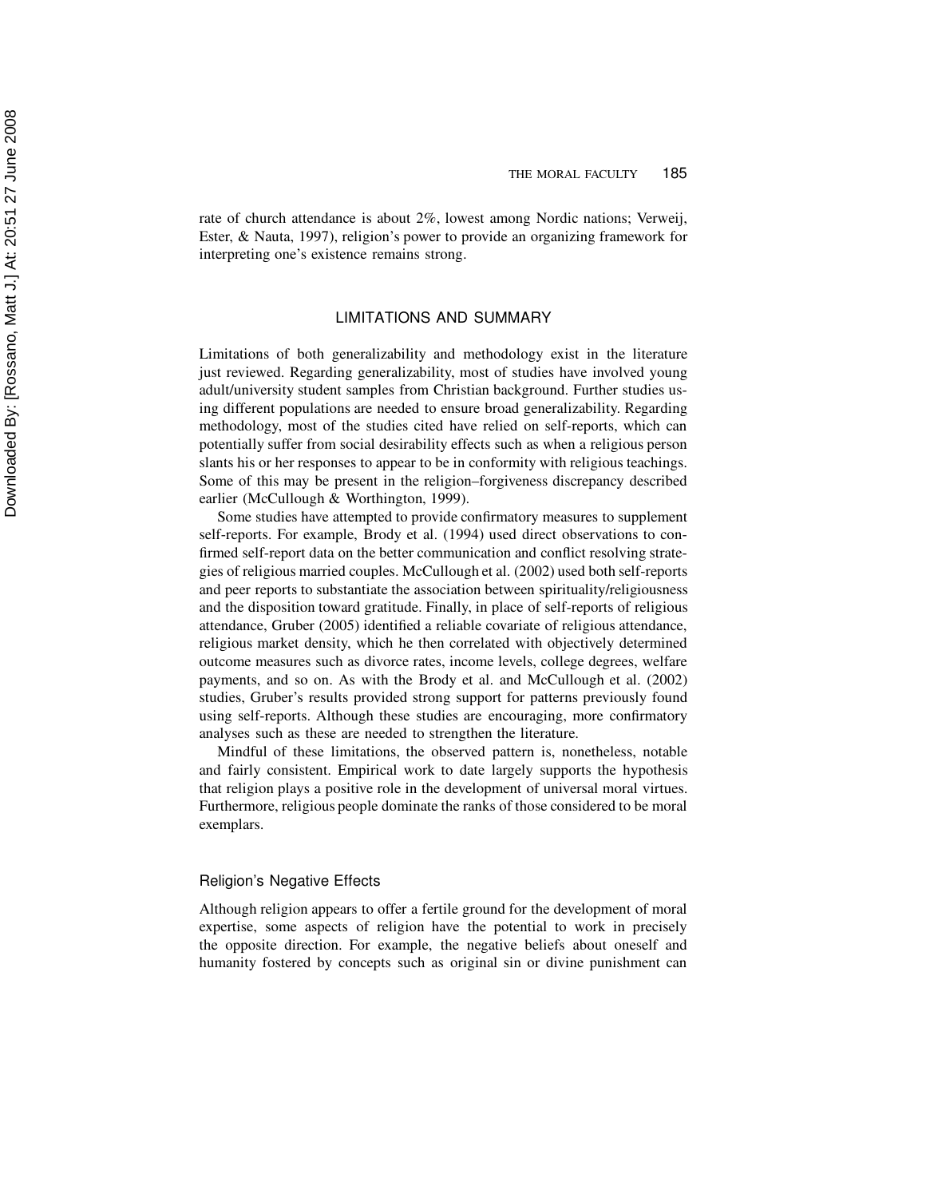rate of church attendance is about 2%, lowest among Nordic nations; Verweij, Ester, & Nauta, 1997), religion's power to provide an organizing framework for interpreting one's existence remains strong.

# LIMITATIONS AND SUMMARY

Limitations of both generalizability and methodology exist in the literature just reviewed. Regarding generalizability, most of studies have involved young adult/university student samples from Christian background. Further studies using different populations are needed to ensure broad generalizability. Regarding methodology, most of the studies cited have relied on self-reports, which can potentially suffer from social desirability effects such as when a religious person slants his or her responses to appear to be in conformity with religious teachings. Some of this may be present in the religion–forgiveness discrepancy described earlier (McCullough & Worthington, 1999).

Some studies have attempted to provide confirmatory measures to supplement self-reports. For example, Brody et al. (1994) used direct observations to confirmed self-report data on the better communication and conflict resolving strategies of religious married couples. McCullough et al. (2002) used both self-reports and peer reports to substantiate the association between spirituality/religiousness and the disposition toward gratitude. Finally, in place of self-reports of religious attendance, Gruber (2005) identified a reliable covariate of religious attendance, religious market density, which he then correlated with objectively determined outcome measures such as divorce rates, income levels, college degrees, welfare payments, and so on. As with the Brody et al. and McCullough et al. (2002) studies, Gruber's results provided strong support for patterns previously found using self-reports. Although these studies are encouraging, more confirmatory analyses such as these are needed to strengthen the literature.

Mindful of these limitations, the observed pattern is, nonetheless, notable and fairly consistent. Empirical work to date largely supports the hypothesis that religion plays a positive role in the development of universal moral virtues. Furthermore, religious people dominate the ranks of those considered to be moral exemplars.

#### Religion's Negative Effects

Although religion appears to offer a fertile ground for the development of moral expertise, some aspects of religion have the potential to work in precisely the opposite direction. For example, the negative beliefs about oneself and humanity fostered by concepts such as original sin or divine punishment can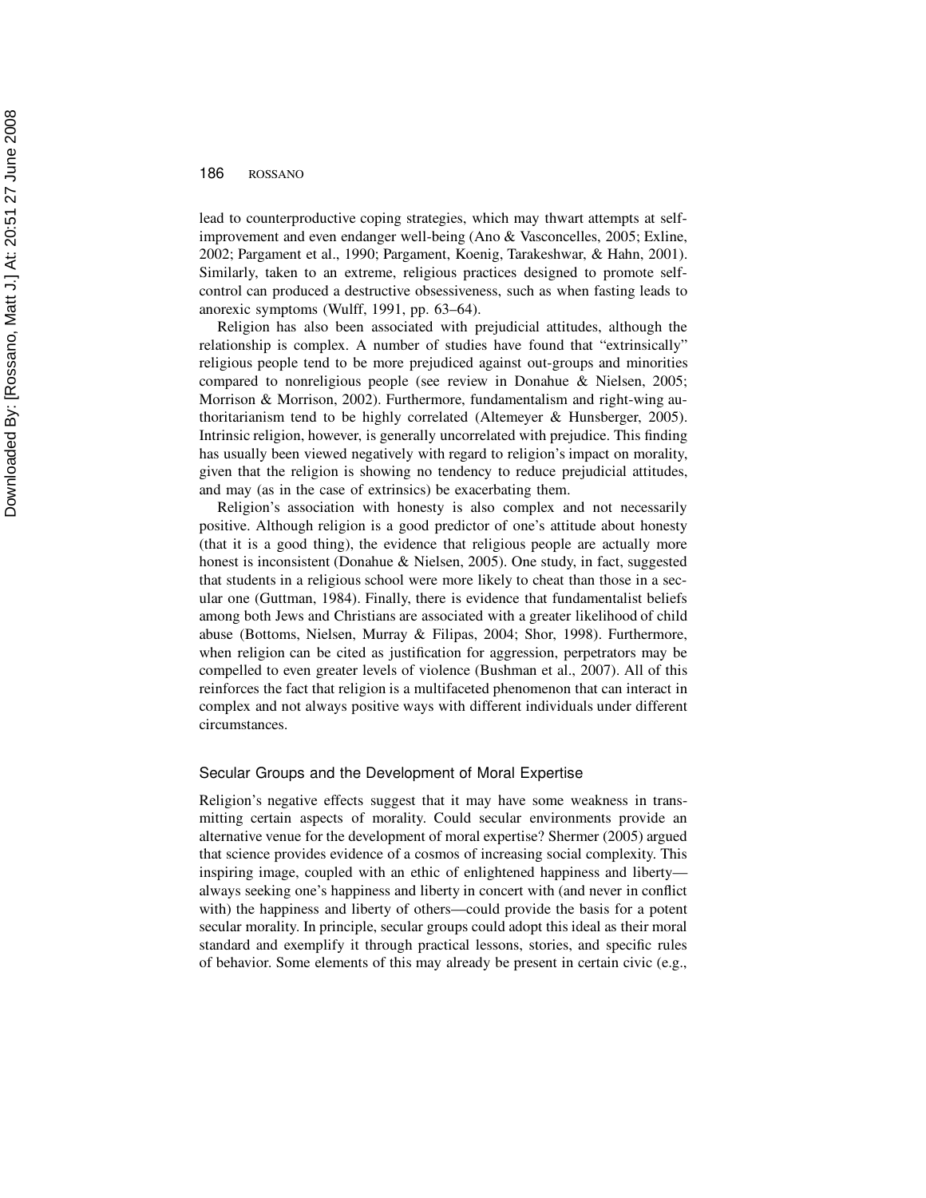lead to counterproductive coping strategies, which may thwart attempts at selfimprovement and even endanger well-being (Ano & Vasconcelles, 2005; Exline, 2002; Pargament et al., 1990; Pargament, Koenig, Tarakeshwar, & Hahn, 2001). Similarly, taken to an extreme, religious practices designed to promote selfcontrol can produced a destructive obsessiveness, such as when fasting leads to anorexic symptoms (Wulff, 1991, pp. 63–64).

Religion has also been associated with prejudicial attitudes, although the relationship is complex. A number of studies have found that "extrinsically" religious people tend to be more prejudiced against out-groups and minorities compared to nonreligious people (see review in Donahue & Nielsen, 2005; Morrison & Morrison, 2002). Furthermore, fundamentalism and right-wing authoritarianism tend to be highly correlated (Altemeyer & Hunsberger, 2005). Intrinsic religion, however, is generally uncorrelated with prejudice. This finding has usually been viewed negatively with regard to religion's impact on morality, given that the religion is showing no tendency to reduce prejudicial attitudes, and may (as in the case of extrinsics) be exacerbating them.

Religion's association with honesty is also complex and not necessarily positive. Although religion is a good predictor of one's attitude about honesty (that it is a good thing), the evidence that religious people are actually more honest is inconsistent (Donahue & Nielsen, 2005). One study, in fact, suggested that students in a religious school were more likely to cheat than those in a secular one (Guttman, 1984). Finally, there is evidence that fundamentalist beliefs among both Jews and Christians are associated with a greater likelihood of child abuse (Bottoms, Nielsen, Murray & Filipas, 2004; Shor, 1998). Furthermore, when religion can be cited as justification for aggression, perpetrators may be compelled to even greater levels of violence (Bushman et al., 2007). All of this reinforces the fact that religion is a multifaceted phenomenon that can interact in complex and not always positive ways with different individuals under different circumstances.

#### Secular Groups and the Development of Moral Expertise

Religion's negative effects suggest that it may have some weakness in transmitting certain aspects of morality. Could secular environments provide an alternative venue for the development of moral expertise? Shermer (2005) argued that science provides evidence of a cosmos of increasing social complexity. This inspiring image, coupled with an ethic of enlightened happiness and liberty always seeking one's happiness and liberty in concert with (and never in conflict with) the happiness and liberty of others—could provide the basis for a potent secular morality. In principle, secular groups could adopt this ideal as their moral standard and exemplify it through practical lessons, stories, and specific rules of behavior. Some elements of this may already be present in certain civic (e.g.,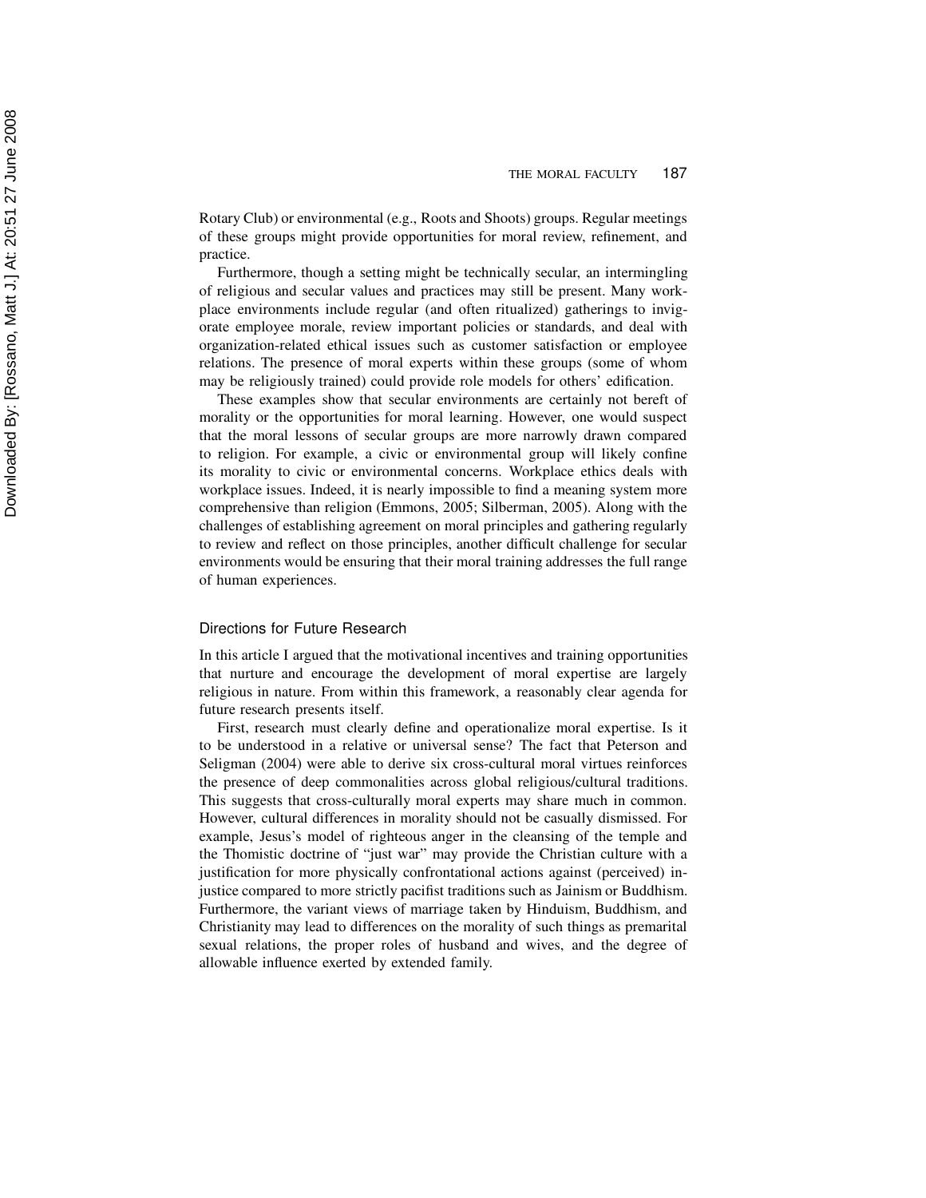Rotary Club) or environmental (e.g., Roots and Shoots) groups. Regular meetings of these groups might provide opportunities for moral review, refinement, and practice.

Furthermore, though a setting might be technically secular, an intermingling of religious and secular values and practices may still be present. Many workplace environments include regular (and often ritualized) gatherings to invigorate employee morale, review important policies or standards, and deal with organization-related ethical issues such as customer satisfaction or employee relations. The presence of moral experts within these groups (some of whom may be religiously trained) could provide role models for others' edification.

These examples show that secular environments are certainly not bereft of morality or the opportunities for moral learning. However, one would suspect that the moral lessons of secular groups are more narrowly drawn compared to religion. For example, a civic or environmental group will likely confine its morality to civic or environmental concerns. Workplace ethics deals with workplace issues. Indeed, it is nearly impossible to find a meaning system more comprehensive than religion (Emmons, 2005; Silberman, 2005). Along with the challenges of establishing agreement on moral principles and gathering regularly to review and reflect on those principles, another difficult challenge for secular environments would be ensuring that their moral training addresses the full range of human experiences.

# Directions for Future Research

In this article I argued that the motivational incentives and training opportunities that nurture and encourage the development of moral expertise are largely religious in nature. From within this framework, a reasonably clear agenda for future research presents itself.

First, research must clearly define and operationalize moral expertise. Is it to be understood in a relative or universal sense? The fact that Peterson and Seligman (2004) were able to derive six cross-cultural moral virtues reinforces the presence of deep commonalities across global religious/cultural traditions. This suggests that cross-culturally moral experts may share much in common. However, cultural differences in morality should not be casually dismissed. For example, Jesus's model of righteous anger in the cleansing of the temple and the Thomistic doctrine of "just war" may provide the Christian culture with a justification for more physically confrontational actions against (perceived) injustice compared to more strictly pacifist traditions such as Jainism or Buddhism. Furthermore, the variant views of marriage taken by Hinduism, Buddhism, and Christianity may lead to differences on the morality of such things as premarital sexual relations, the proper roles of husband and wives, and the degree of allowable influence exerted by extended family.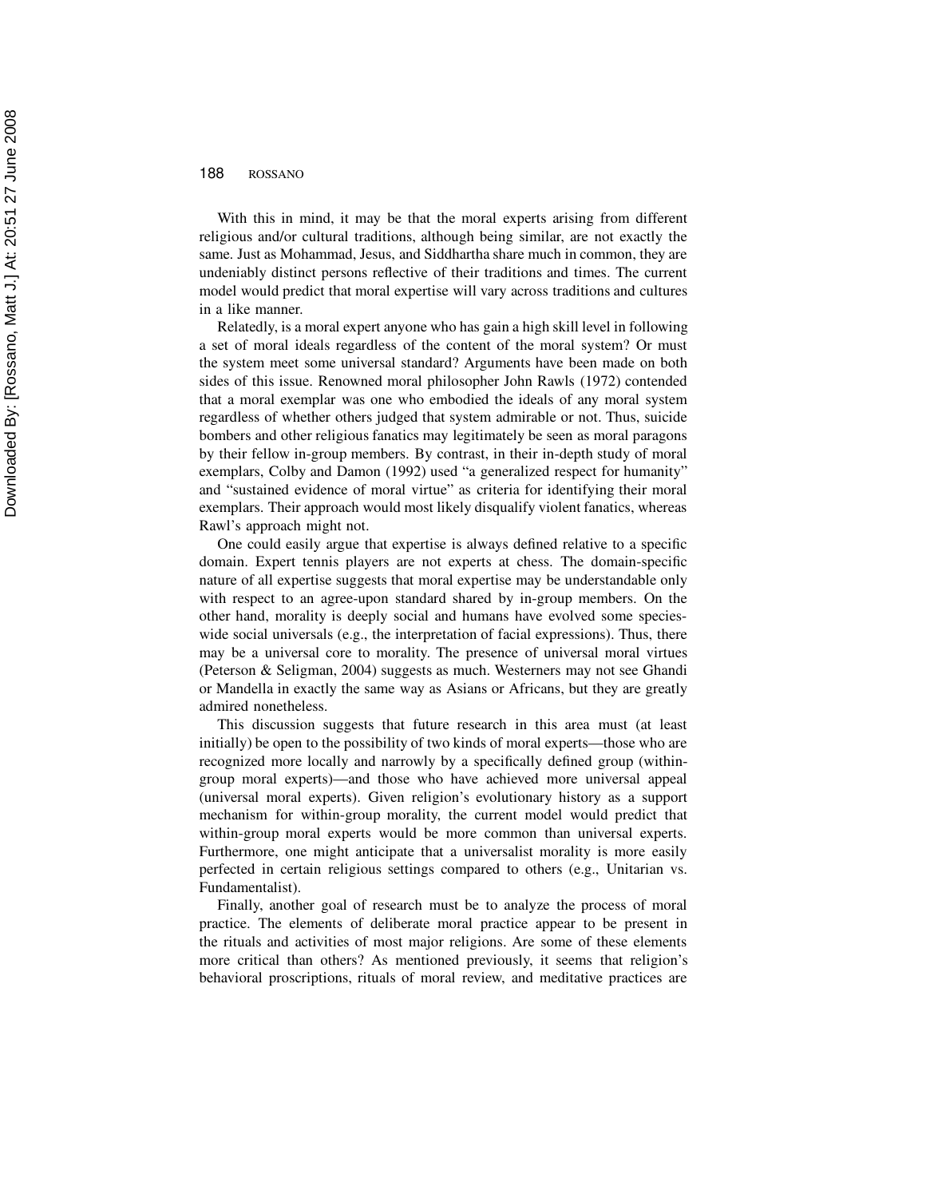With this in mind, it may be that the moral experts arising from different religious and/or cultural traditions, although being similar, are not exactly the same. Just as Mohammad, Jesus, and Siddhartha share much in common, they are undeniably distinct persons reflective of their traditions and times. The current model would predict that moral expertise will vary across traditions and cultures in a like manner.

Relatedly, is a moral expert anyone who has gain a high skill level in following a set of moral ideals regardless of the content of the moral system? Or must the system meet some universal standard? Arguments have been made on both sides of this issue. Renowned moral philosopher John Rawls (1972) contended that a moral exemplar was one who embodied the ideals of any moral system regardless of whether others judged that system admirable or not. Thus, suicide bombers and other religious fanatics may legitimately be seen as moral paragons by their fellow in-group members. By contrast, in their in-depth study of moral exemplars, Colby and Damon (1992) used "a generalized respect for humanity" and "sustained evidence of moral virtue" as criteria for identifying their moral exemplars. Their approach would most likely disqualify violent fanatics, whereas Rawl's approach might not.

One could easily argue that expertise is always defined relative to a specific domain. Expert tennis players are not experts at chess. The domain-specific nature of all expertise suggests that moral expertise may be understandable only with respect to an agree-upon standard shared by in-group members. On the other hand, morality is deeply social and humans have evolved some specieswide social universals (e.g., the interpretation of facial expressions). Thus, there may be a universal core to morality. The presence of universal moral virtues (Peterson & Seligman, 2004) suggests as much. Westerners may not see Ghandi or Mandella in exactly the same way as Asians or Africans, but they are greatly admired nonetheless.

This discussion suggests that future research in this area must (at least initially) be open to the possibility of two kinds of moral experts—those who are recognized more locally and narrowly by a specifically defined group (withingroup moral experts)—and those who have achieved more universal appeal (universal moral experts). Given religion's evolutionary history as a support mechanism for within-group morality, the current model would predict that within-group moral experts would be more common than universal experts. Furthermore, one might anticipate that a universalist morality is more easily perfected in certain religious settings compared to others (e.g., Unitarian vs. Fundamentalist).

Finally, another goal of research must be to analyze the process of moral practice. The elements of deliberate moral practice appear to be present in the rituals and activities of most major religions. Are some of these elements more critical than others? As mentioned previously, it seems that religion's behavioral proscriptions, rituals of moral review, and meditative practices are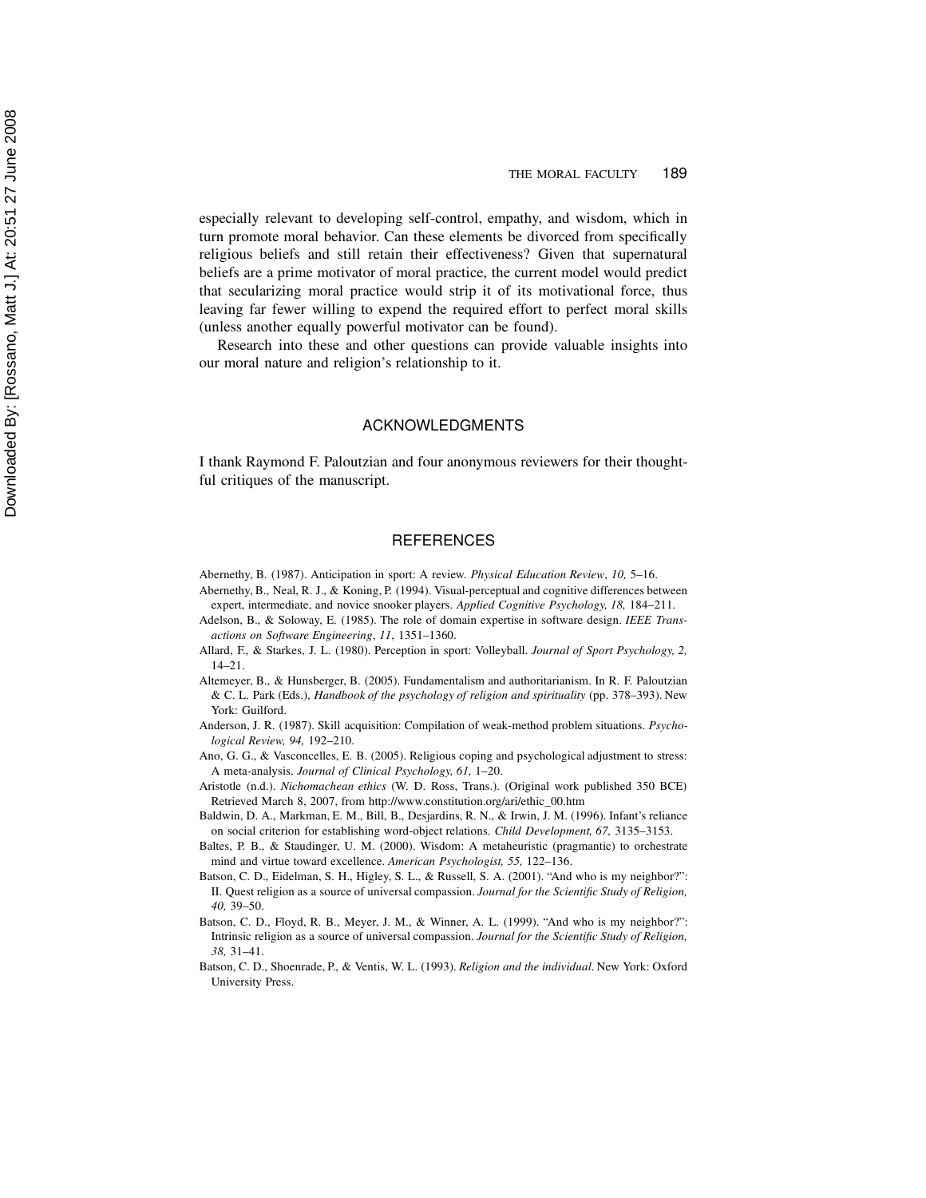especially relevant to developing self-control, empathy, and wisdom, which in turn promote moral behavior. Can these elements be divorced from specifically religious beliefs and still retain their effectiveness? Given that supernatural beliefs are a prime motivator of moral practice, the current model would predict that secularizing moral practice would strip it of its motivational force, thus leaving far fewer willing to expend the required effort to perfect moral skills (unless another equally powerful motivator can be found).

Research into these and other questions can provide valuable insights into our moral nature and religion's relationship to it.

# ACKNOWLEDGMENTS

I thank Raymond F. Paloutzian and four anonymous reviewers for their thoughtful critiques of the manuscript.

# **REFERENCES**

- Abernethy, B. (1987). Anticipation in sport: A review. Physical Education Review, 10, 5–16. Abernethy, B., Neal, R. J., & Koning, P. (1994). Visual-perceptual and cognitive differences between
- expert, intermediate, and novice snooker players. Applied Cognitive Psychology, 18, 184–211.
- Adelson, B., & Soloway, E. (1985). The role of domain expertise in software design. IEEE Transactions on Software Engineering, 11, 1351–1360.
- Allard, F., & Starkes, J. L. (1980). Perception in sport: Volleyball. Journal of Sport Psychology, 2, 14–21.
- Altemeyer, B., & Hunsberger, B. (2005). Fundamentalism and authoritarianism. In R. F. Paloutzian & C. L. Park (Eds.), Handbook of the psychology of religion and spirituality (pp. 378–393). New York: Guilford.
- Anderson, J. R. (1987). Skill acquisition: Compilation of weak-method problem situations. Psychological Review, 94, 192–210.
- Ano, G. G., & Vasconcelles, E. B. (2005). Religious coping and psychological adjustment to stress: A meta-analysis. Journal of Clinical Psychology, 61, 1–20.
- Aristotle (n.d.). Nichomachean ethics (W. D. Ross, Trans.). (Original work published 350 BCE) Retrieved March 8, 2007, from http://www.constitution.org/ari/ethic\_00.htm
- Baldwin, D. A., Markman, E. M., Bill, B., Desjardins, R. N., & Irwin, J. M. (1996). Infant's reliance on social criterion for establishing word-object relations. Child Development, 67, 3135–3153.
- Baltes, P. B., & Staudinger, U. M. (2000). Wisdom: A metaheuristic (pragmantic) to orchestrate mind and virtue toward excellence. American Psychologist, 55, 122–136.
- Batson, C. D., Eidelman, S. H., Higley, S. L., & Russell, S. A. (2001). "And who is my neighbor?": II. Quest religion as a source of universal compassion. Journal for the Scientific Study of Religion, 40, 39–50.
- Batson, C. D., Floyd, R. B., Meyer, J. M., & Winner, A. L. (1999). "And who is my neighbor?": Intrinsic religion as a source of universal compassion. Journal for the Scientific Study of Religion, 38, 31–41.
- Batson, C. D., Shoenrade, P., & Ventis, W. L. (1993). Religion and the individual. New York: Oxford University Press.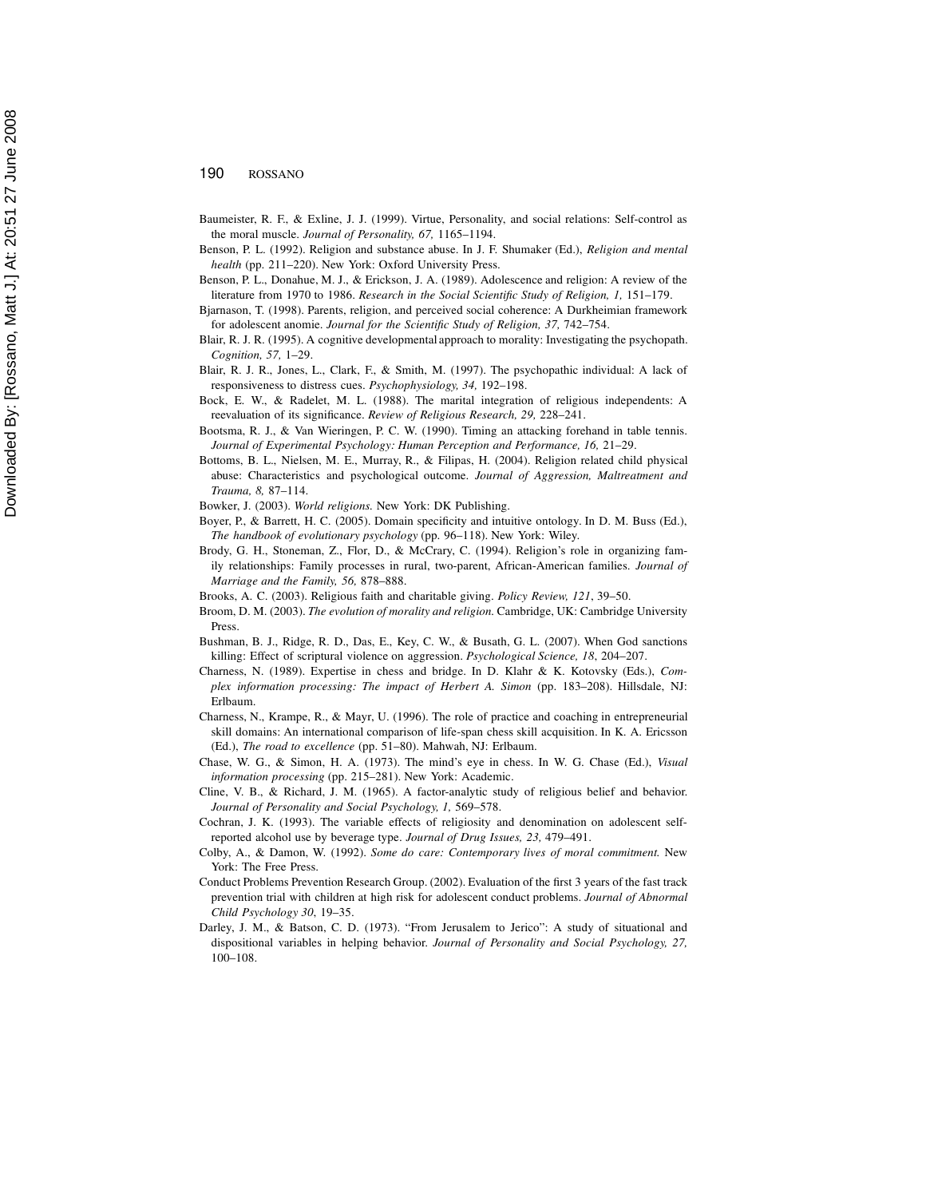- Baumeister, R. F., & Exline, J. J. (1999). Virtue, Personality, and social relations: Self-control as the moral muscle. Journal of Personality, 67, 1165–1194.
- Benson, P. L. (1992). Religion and substance abuse. In J. F. Shumaker (Ed.), Religion and mental health (pp. 211–220). New York: Oxford University Press.
- Benson, P. L., Donahue, M. J., & Erickson, J. A. (1989). Adolescence and religion: A review of the literature from 1970 to 1986. Research in the Social Scientific Study of Religion, 1, 151–179.
- Bjarnason, T. (1998). Parents, religion, and perceived social coherence: A Durkheimian framework for adolescent anomie. Journal for the Scientific Study of Religion, 37, 742–754.
- Blair, R. J. R. (1995). A cognitive developmental approach to morality: Investigating the psychopath. Cognition, 57, 1–29.
- Blair, R. J. R., Jones, L., Clark, F., & Smith, M. (1997). The psychopathic individual: A lack of responsiveness to distress cues. Psychophysiology, 34, 192–198.
- Bock, E. W., & Radelet, M. L. (1988). The marital integration of religious independents: A reevaluation of its significance. Review of Religious Research, 29, 228–241.
- Bootsma, R. J., & Van Wieringen, P. C. W. (1990). Timing an attacking forehand in table tennis. Journal of Experimental Psychology: Human Perception and Performance, 16, 21–29.
- Bottoms, B. L., Nielsen, M. E., Murray, R., & Filipas, H. (2004). Religion related child physical abuse: Characteristics and psychological outcome. Journal of Aggression, Maltreatment and Trauma, 8, 87–114.
- Bowker, J. (2003). World religions. New York: DK Publishing.
- Boyer, P., & Barrett, H. C. (2005). Domain specificity and intuitive ontology. In D. M. Buss (Ed.), The handbook of evolutionary psychology (pp. 96–118). New York: Wiley.
- Brody, G. H., Stoneman, Z., Flor, D., & McCrary, C. (1994). Religion's role in organizing family relationships: Family processes in rural, two-parent, African-American families. Journal of Marriage and the Family, 56, 878–888.
- Brooks, A. C. (2003). Religious faith and charitable giving. Policy Review, 121, 39–50.
- Broom, D. M. (2003). The evolution of morality and religion. Cambridge, UK: Cambridge University Press.
- Bushman, B. J., Ridge, R. D., Das, E., Key, C. W., & Busath, G. L. (2007). When God sanctions killing: Effect of scriptural violence on aggression. Psychological Science, 18, 204–207.
- Charness, N. (1989). Expertise in chess and bridge. In D. Klahr & K. Kotovsky (Eds.), Complex information processing: The impact of Herbert A. Simon (pp. 183–208). Hillsdale, NJ: Erlbaum.
- Charness, N., Krampe, R., & Mayr, U. (1996). The role of practice and coaching in entrepreneurial skill domains: An international comparison of life-span chess skill acquisition. In K. A. Ericsson (Ed.), The road to excellence (pp. 51–80). Mahwah, NJ: Erlbaum.
- Chase, W. G., & Simon, H. A. (1973). The mind's eye in chess. In W. G. Chase (Ed.), Visual information processing (pp. 215–281). New York: Academic.
- Cline, V. B., & Richard, J. M. (1965). A factor-analytic study of religious belief and behavior. Journal of Personality and Social Psychology, 1, 569–578.
- Cochran, J. K. (1993). The variable effects of religiosity and denomination on adolescent selfreported alcohol use by beverage type. Journal of Drug Issues, 23, 479–491.
- Colby, A., & Damon, W. (1992). Some do care: Contemporary lives of moral commitment. New York: The Free Press.
- Conduct Problems Prevention Research Group. (2002). Evaluation of the first 3 years of the fast track prevention trial with children at high risk for adolescent conduct problems. Journal of Abnormal Child Psychology 30, 19–35.
- Darley, J. M., & Batson, C. D. (1973). "From Jerusalem to Jerico": A study of situational and dispositional variables in helping behavior. Journal of Personality and Social Psychology, 27, 100–108.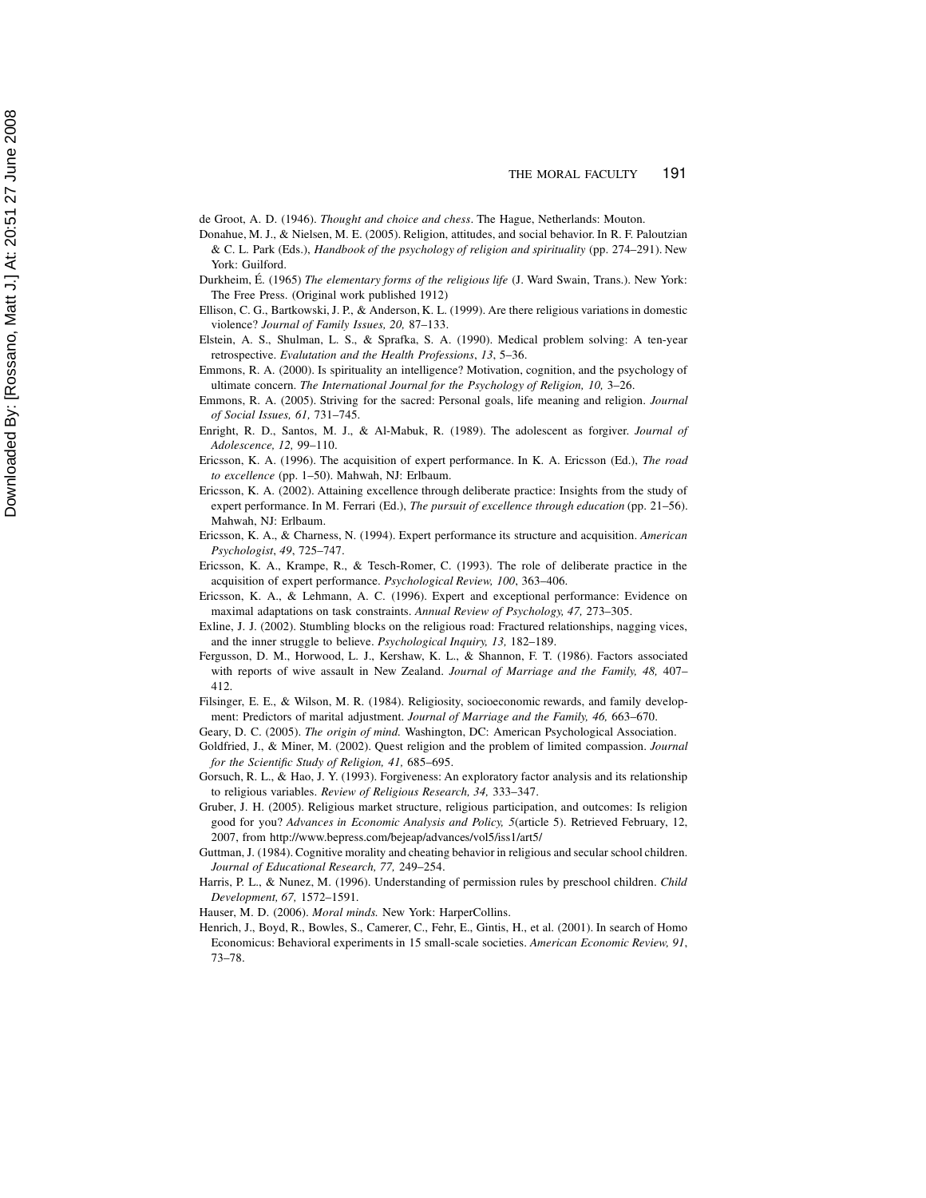de Groot, A. D. (1946). Thought and choice and chess. The Hague, Netherlands: Mouton.

- Donahue, M. J., & Nielsen, M. E. (2005). Religion, attitudes, and social behavior. In R. F. Paloutzian & C. L. Park (Eds.), Handbook of the psychology of religion and spirituality (pp. 274–291). New York: Guilford.
- Durkheim, É. (1965) The elementary forms of the religious life (J. Ward Swain, Trans.). New York: The Free Press. (Original work published 1912)
- Ellison, C. G., Bartkowski, J. P., & Anderson, K. L. (1999). Are there religious variations in domestic violence? Journal of Family Issues, 20, 87–133.
- Elstein, A. S., Shulman, L. S., & Sprafka, S. A. (1990). Medical problem solving: A ten-year retrospective. Evalutation and the Health Professions, 13, 5–36.
- Emmons, R. A. (2000). Is spirituality an intelligence? Motivation, cognition, and the psychology of ultimate concern. The International Journal for the Psychology of Religion, 10, 3–26.
- Emmons, R. A. (2005). Striving for the sacred: Personal goals, life meaning and religion. Journal of Social Issues, 61, 731–745.
- Enright, R. D., Santos, M. J., & Al-Mabuk, R. (1989). The adolescent as forgiver. Journal of Adolescence, 12, 99–110.
- Ericsson, K. A. (1996). The acquisition of expert performance. In K. A. Ericsson (Ed.), The road to excellence (pp. 1–50). Mahwah, NJ: Erlbaum.
- Ericsson, K. A. (2002). Attaining excellence through deliberate practice: Insights from the study of expert performance. In M. Ferrari (Ed.), The pursuit of excellence through education (pp. 21–56). Mahwah, NJ: Erlbaum.
- Ericsson, K. A., & Charness, N. (1994). Expert performance its structure and acquisition. American Psychologist, 49, 725–747.
- Ericsson, K. A., Krampe, R., & Tesch-Romer, C. (1993). The role of deliberate practice in the acquisition of expert performance. Psychological Review, 100, 363–406.
- Ericsson, K. A., & Lehmann, A. C. (1996). Expert and exceptional performance: Evidence on maximal adaptations on task constraints. Annual Review of Psychology, 47, 273–305.
- Exline, J. J. (2002). Stumbling blocks on the religious road: Fractured relationships, nagging vices, and the inner struggle to believe. Psychological Inquiry, 13, 182–189.
- Fergusson, D. M., Horwood, L. J., Kershaw, K. L., & Shannon, F. T. (1986). Factors associated with reports of wive assault in New Zealand. Journal of Marriage and the Family, 48, 407– 412.
- Filsinger, E. E., & Wilson, M. R. (1984). Religiosity, socioeconomic rewards, and family development: Predictors of marital adjustment. Journal of Marriage and the Family, 46, 663-670.
- Geary, D. C. (2005). The origin of mind. Washington, DC: American Psychological Association.
- Goldfried, J., & Miner, M. (2002). Quest religion and the problem of limited compassion. Journal for the Scientific Study of Religion, 41, 685–695.
- Gorsuch, R. L., & Hao, J. Y. (1993). Forgiveness: An exploratory factor analysis and its relationship to religious variables. Review of Religious Research, 34, 333–347.
- Gruber, J. H. (2005). Religious market structure, religious participation, and outcomes: Is religion good for you? Advances in Economic Analysis and Policy, 5(article 5). Retrieved February, 12, 2007, from http://www.bepress.com/bejeap/advances/vol5/iss1/art5/
- Guttman, J. (1984). Cognitive morality and cheating behavior in religious and secular school children. Journal of Educational Research, 77, 249–254.
- Harris, P. L., & Nunez, M. (1996). Understanding of permission rules by preschool children. Child Development, 67, 1572–1591.
- Hauser, M. D. (2006). Moral minds. New York: HarperCollins.
- Henrich, J., Boyd, R., Bowles, S., Camerer, C., Fehr, E., Gintis, H., et al. (2001). In search of Homo Economicus: Behavioral experiments in 15 small-scale societies. American Economic Review, 91, 73–78.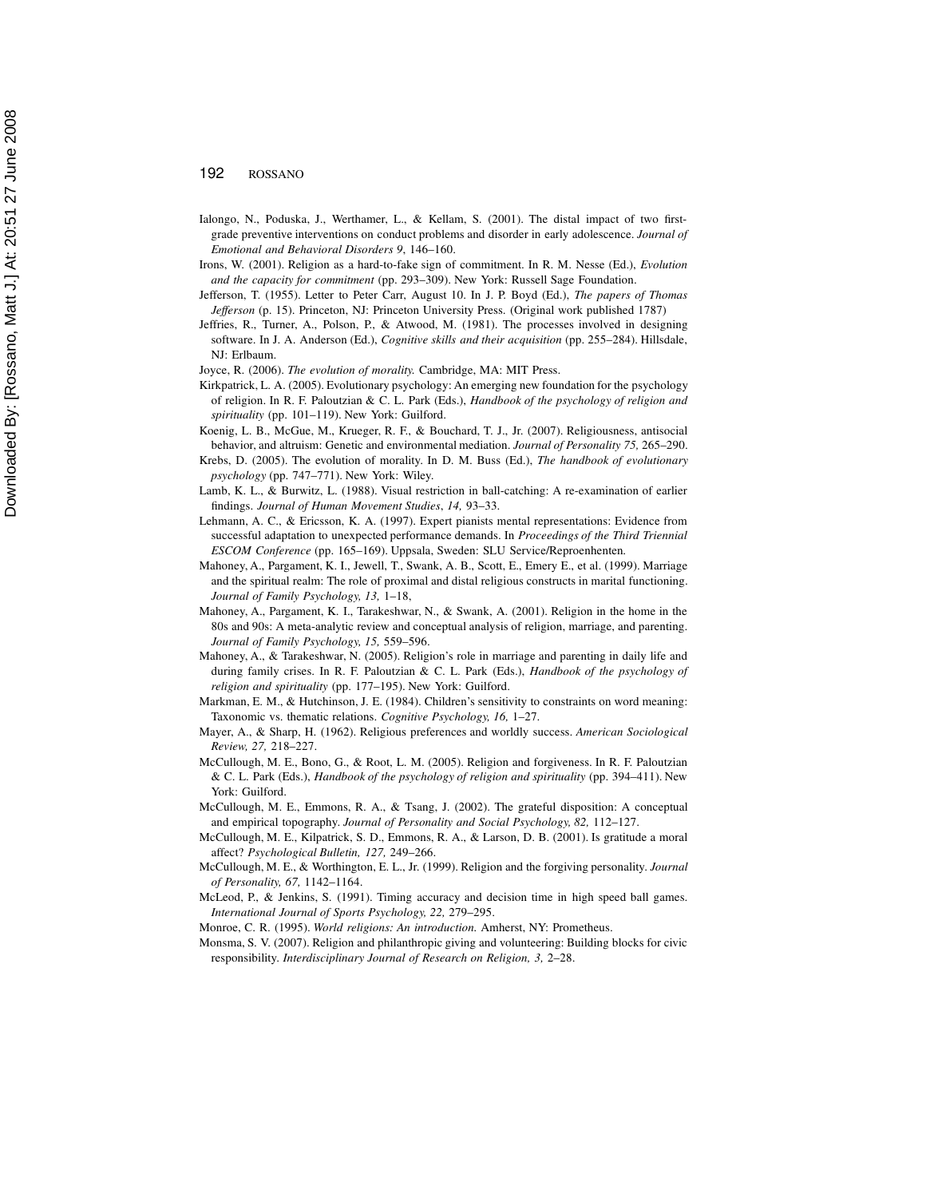- Ialongo, N., Poduska, J., Werthamer, L., & Kellam, S. (2001). The distal impact of two firstgrade preventive interventions on conduct problems and disorder in early adolescence. Journal of Emotional and Behavioral Disorders 9, 146–160.
- Irons, W. (2001). Religion as a hard-to-fake sign of commitment. In R. M. Nesse (Ed.), Evolution and the capacity for commitment (pp. 293–309). New York: Russell Sage Foundation.
- Jefferson, T. (1955). Letter to Peter Carr, August 10. In J. P. Boyd (Ed.), The papers of Thomas Jefferson (p. 15). Princeton, NJ: Princeton University Press. (Original work published 1787)
- Jeffries, R., Turner, A., Polson, P., & Atwood, M. (1981). The processes involved in designing software. In J. A. Anderson (Ed.), *Cognitive skills and their acquisition* (pp. 255–284). Hillsdale, NJ: Erlbaum.
- Joyce, R. (2006). The evolution of morality. Cambridge, MA: MIT Press.
- Kirkpatrick, L. A. (2005). Evolutionary psychology: An emerging new foundation for the psychology of religion. In R. F. Paloutzian & C. L. Park (Eds.), Handbook of the psychology of religion and spirituality (pp. 101-119). New York: Guilford.
- Koenig, L. B., McGue, M., Krueger, R. F., & Bouchard, T. J., Jr. (2007). Religiousness, antisocial behavior, and altruism: Genetic and environmental mediation. Journal of Personality 75, 265–290.
- Krebs, D. (2005). The evolution of morality. In D. M. Buss (Ed.), The handbook of evolutionary psychology (pp. 747–771). New York: Wiley.
- Lamb, K. L., & Burwitz, L. (1988). Visual restriction in ball-catching: A re-examination of earlier findings. Journal of Human Movement Studies, 14, 93–33.
- Lehmann, A. C., & Ericsson, K. A. (1997). Expert pianists mental representations: Evidence from successful adaptation to unexpected performance demands. In *Proceedings of the Third Triennial* ESCOM Conference (pp. 165–169). Uppsala, Sweden: SLU Service/Reproenhenten.
- Mahoney, A., Pargament, K. I., Jewell, T., Swank, A. B., Scott, E., Emery E., et al. (1999). Marriage and the spiritual realm: The role of proximal and distal religious constructs in marital functioning. Journal of Family Psychology, 13, 1–18,
- Mahoney, A., Pargament, K. I., Tarakeshwar, N., & Swank, A. (2001). Religion in the home in the 80s and 90s: A meta-analytic review and conceptual analysis of religion, marriage, and parenting. Journal of Family Psychology, 15, 559–596.
- Mahoney, A., & Tarakeshwar, N. (2005). Religion's role in marriage and parenting in daily life and during family crises. In R. F. Paloutzian & C. L. Park (Eds.), Handbook of the psychology of religion and spirituality (pp. 177–195). New York: Guilford.
- Markman, E. M., & Hutchinson, J. E. (1984). Children's sensitivity to constraints on word meaning: Taxonomic vs. thematic relations. Cognitive Psychology, 16, 1–27.
- Mayer, A., & Sharp, H. (1962). Religious preferences and worldly success. American Sociological Review, 27, 218–227.
- McCullough, M. E., Bono, G., & Root, L. M. (2005). Religion and forgiveness. In R. F. Paloutzian & C. L. Park (Eds.), Handbook of the psychology of religion and spirituality (pp. 394–411). New York: Guilford.
- McCullough, M. E., Emmons, R. A., & Tsang, J. (2002). The grateful disposition: A conceptual and empirical topography. Journal of Personality and Social Psychology, 82, 112–127.
- McCullough, M. E., Kilpatrick, S. D., Emmons, R. A., & Larson, D. B. (2001). Is gratitude a moral affect? Psychological Bulletin, 127, 249–266.
- McCullough, M. E., & Worthington, E. L., Jr. (1999). Religion and the forgiving personality. Journal of Personality, 67, 1142–1164.
- McLeod, P., & Jenkins, S. (1991). Timing accuracy and decision time in high speed ball games. International Journal of Sports Psychology, 22, 279–295.
- Monroe, C. R. (1995). World religions: An introduction. Amherst, NY: Prometheus.
- Monsma, S. V. (2007). Religion and philanthropic giving and volunteering: Building blocks for civic responsibility. Interdisciplinary Journal of Research on Religion, 3, 2–28.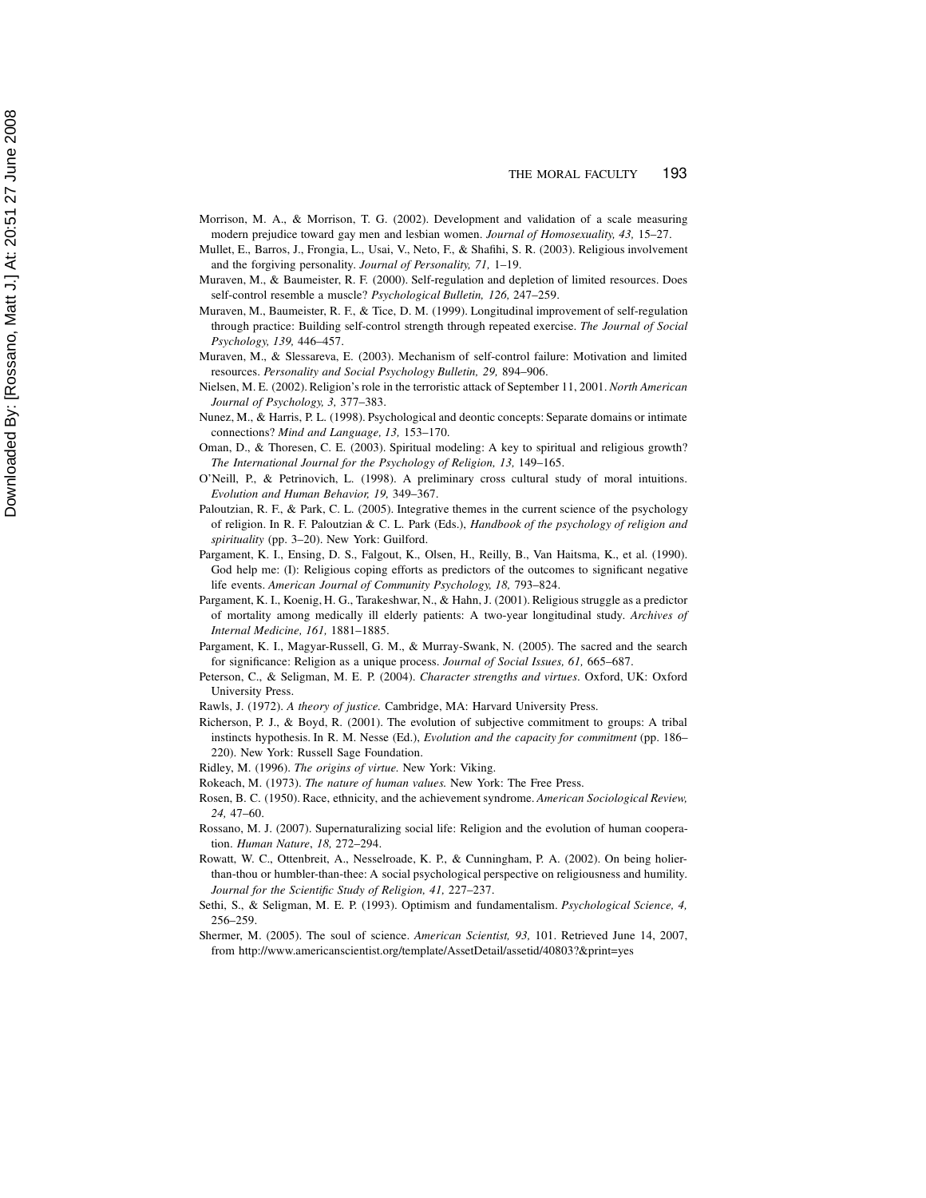- Morrison, M. A., & Morrison, T. G. (2002). Development and validation of a scale measuring modern prejudice toward gay men and lesbian women. Journal of Homosexuality, 43, 15–27.
- Mullet, E., Barros, J., Frongia, L., Usai, V., Neto, F., & Shafihi, S. R. (2003). Religious involvement and the forgiving personality. Journal of Personality, 71, 1–19.
- Muraven, M., & Baumeister, R. F. (2000). Self-regulation and depletion of limited resources. Does self-control resemble a muscle? Psychological Bulletin, 126, 247–259.
- Muraven, M., Baumeister, R. F., & Tice, D. M. (1999). Longitudinal improvement of self-regulation through practice: Building self-control strength through repeated exercise. The Journal of Social Psychology, 139, 446–457.
- Muraven, M., & Slessareva, E. (2003). Mechanism of self-control failure: Motivation and limited resources. Personality and Social Psychology Bulletin, 29, 894–906.
- Nielsen, M. E. (2002). Religion's role in the terroristic attack of September 11, 2001. North American Journal of Psychology, 3, 377–383.
- Nunez, M., & Harris, P. L. (1998). Psychological and deontic concepts: Separate domains or intimate connections? Mind and Language, 13, 153–170.
- Oman, D., & Thoresen, C. E. (2003). Spiritual modeling: A key to spiritual and religious growth? The International Journal for the Psychology of Religion, 13, 149–165.
- O'Neill, P., & Petrinovich, L. (1998). A preliminary cross cultural study of moral intuitions. Evolution and Human Behavior, 19, 349–367.
- Paloutzian, R. F., & Park, C. L. (2005). Integrative themes in the current science of the psychology of religion. In R. F. Paloutzian & C. L. Park (Eds.), Handbook of the psychology of religion and spirituality (pp. 3-20). New York: Guilford.
- Pargament, K. I., Ensing, D. S., Falgout, K., Olsen, H., Reilly, B., Van Haitsma, K., et al. (1990). God help me: (I): Religious coping efforts as predictors of the outcomes to significant negative life events. American Journal of Community Psychology, 18, 793–824.
- Pargament, K. I., Koenig, H. G., Tarakeshwar, N., & Hahn, J. (2001). Religious struggle as a predictor of mortality among medically ill elderly patients: A two-year longitudinal study. Archives of Internal Medicine, 161, 1881–1885.
- Pargament, K. I., Magyar-Russell, G. M., & Murray-Swank, N. (2005). The sacred and the search for significance: Religion as a unique process. Journal of Social Issues, 61, 665–687.
- Peterson, C., & Seligman, M. E. P. (2004). Character strengths and virtues. Oxford, UK: Oxford University Press.
- Rawls, J. (1972). A theory of justice. Cambridge, MA: Harvard University Press.
- Richerson, P. J., & Boyd, R. (2001). The evolution of subjective commitment to groups: A tribal instincts hypothesis. In R. M. Nesse (Ed.), *Evolution and the capacity for commitment* (pp. 186– 220). New York: Russell Sage Foundation.
- Ridley, M. (1996). The origins of virtue. New York: Viking.
- Rokeach, M. (1973). The nature of human values. New York: The Free Press.
- Rosen, B. C. (1950). Race, ethnicity, and the achievement syndrome. American Sociological Review, 24, 47–60.
- Rossano, M. J. (2007). Supernaturalizing social life: Religion and the evolution of human cooperation. Human Nature, 18, 272–294.
- Rowatt, W. C., Ottenbreit, A., Nesselroade, K. P., & Cunningham, P. A. (2002). On being holierthan-thou or humbler-than-thee: A social psychological perspective on religiousness and humility. Journal for the Scientific Study of Religion, 41, 227–237.
- Sethi, S., & Seligman, M. E. P. (1993). Optimism and fundamentalism. *Psychological Science*, 4, 256–259.
- Shermer, M. (2005). The soul of science. American Scientist, 93, 101. Retrieved June 14, 2007, from http://www.americanscientist.org/template/AssetDetail/assetid/40803?&print=yes